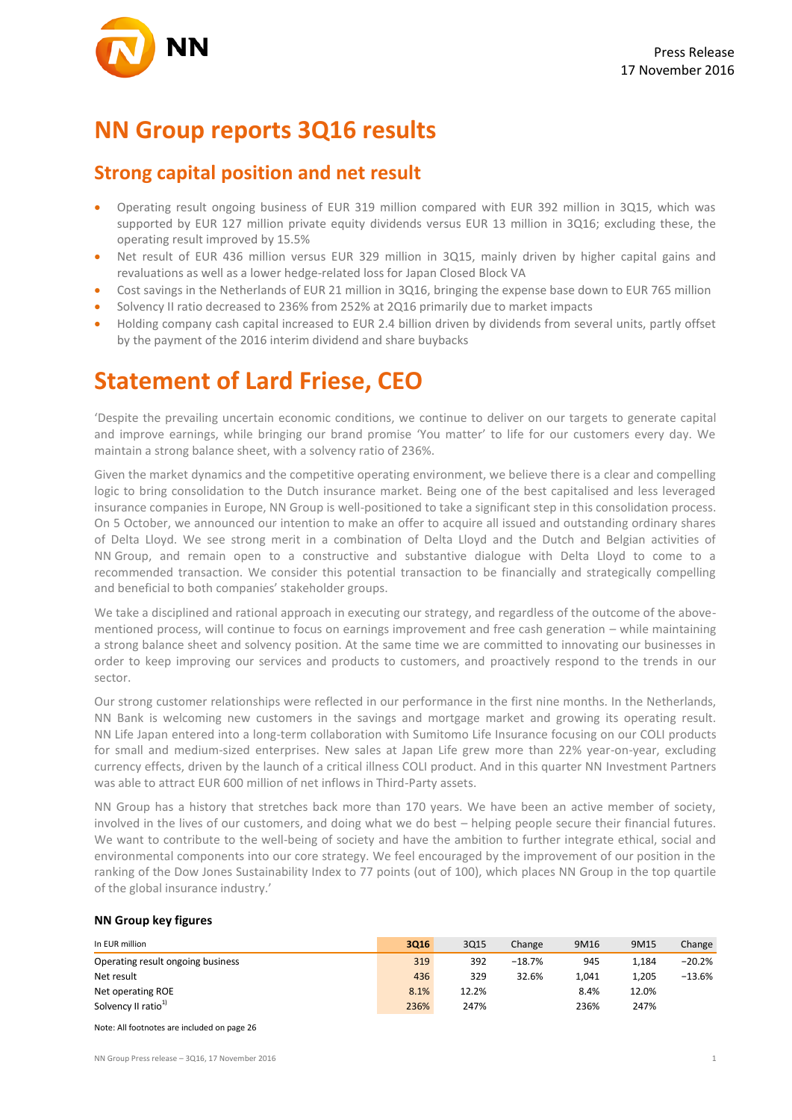### **NN Group reports 3Q16 results**

### **Strong capital position and net result**

- Operating result ongoing business of EUR 319 million compared with EUR 392 million in 3Q15, which was supported by EUR 127 million private equity dividends versus EUR 13 million in 3Q16; excluding these, the operating result improved by 15.5%
- Net result of EUR 436 million versus EUR 329 million in 3Q15, mainly driven by higher capital gains and revaluations as well as a lower hedge-related loss for Japan Closed Block VA
- Cost savings in the Netherlands of EUR 21 million in 3Q16, bringing the expense base down to EUR 765 million
- Solvency II ratio decreased to 236% from 252% at 2Q16 primarily due to market impacts
- Holding company cash capital increased to EUR 2.4 billion driven by dividends from several units, partly offset by the payment of the 2016 interim dividend and share buybacks

## **Statement of Lard Friese, CEO**

'Despite the prevailing uncertain economic conditions, we continue to deliver on our targets to generate capital and improve earnings, while bringing our brand promise 'You matter' to life for our customers every day. We maintain a strong balance sheet, with a solvency ratio of 236%.

Given the market dynamics and the competitive operating environment, we believe there is a clear and compelling logic to bring consolidation to the Dutch insurance market. Being one of the best capitalised and less leveraged insurance companies in Europe, NN Group is well-positioned to take a significant step in this consolidation process. On 5 October, we announced our intention to make an offer to acquire all issued and outstanding ordinary shares of Delta Lloyd. We see strong merit in a combination of Delta Lloyd and the Dutch and Belgian activities of NN Group, and remain open to a constructive and substantive dialogue with Delta Lloyd to come to a recommended transaction. We consider this potential transaction to be financially and strategically compelling and beneficial to both companies' stakeholder groups.

We take a disciplined and rational approach in executing our strategy, and regardless of the outcome of the abovementioned process, will continue to focus on earnings improvement and free cash generation – while maintaining a strong balance sheet and solvency position. At the same time we are committed to innovating our businesses in order to keep improving our services and products to customers, and proactively respond to the trends in our sector.

Our strong customer relationships were reflected in our performance in the first nine months. In the Netherlands, NN Bank is welcoming new customers in the savings and mortgage market and growing its operating result. NN Life Japan entered into a long-term collaboration with Sumitomo Life Insurance focusing on our COLI products for small and medium-sized enterprises. New sales at Japan Life grew more than 22% year-on-year, excluding currency effects, driven by the launch of a critical illness COLI product. And in this quarter NN Investment Partners was able to attract EUR 600 million of net inflows in Third-Party assets.

NN Group has a history that stretches back more than 170 years. We have been an active member of society, involved in the lives of our customers, and doing what we do best – helping people secure their financial futures. We want to contribute to the well-being of society and have the ambition to further integrate ethical, social and environmental components into our core strategy. We feel encouraged by the improvement of our position in the ranking of the Dow Jones Sustainability Index to 77 points (out of 100), which places NN Group in the top quartile of the global insurance industry.'

#### **NN Group key figures**

| In EUR million                    | 3016 | 3Q15  | Change   | 9M16  | 9M15  | Change   |
|-----------------------------------|------|-------|----------|-------|-------|----------|
| Operating result ongoing business | 319  | 392   | $-18.7%$ | 945   | 1.184 | $-20.2%$ |
| Net result                        | 436  | 329   | 32.6%    | 1.041 | 1.205 | $-13.6%$ |
| Net operating ROE                 | 8.1% | 12.2% |          | 8.4%  | 12.0% |          |
| Solvency II ratio <sup>1)</sup>   | 236% | 247%  |          | 236%  | 247%  |          |

Note: All footnotes are included on page 26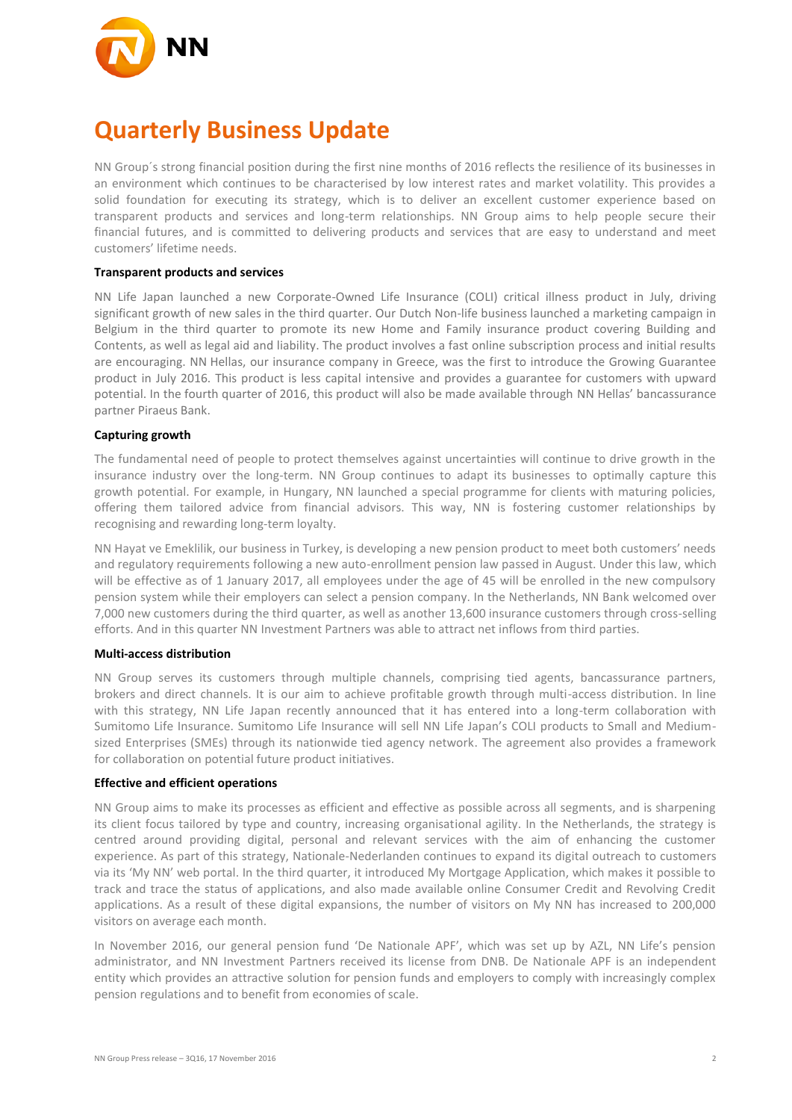

## **Quarterly Business Update**

NN Group´s strong financial position during the first nine months of 2016 reflects the resilience of its businesses in an environment which continues to be characterised by low interest rates and market volatility. This provides a solid foundation for executing its strategy, which is to deliver an excellent customer experience based on transparent products and services and long-term relationships. NN Group aims to help people secure their financial futures, and is committed to delivering products and services that are easy to understand and meet customers' lifetime needs.

#### **Transparent products and services**

NN Life Japan launched a new Corporate-Owned Life Insurance (COLI) critical illness product in July, driving significant growth of new sales in the third quarter. Our Dutch Non-life business launched a marketing campaign in Belgium in the third quarter to promote its new Home and Family insurance product covering Building and Contents, as well as legal aid and liability. The product involves a fast online subscription process and initial results are encouraging. NN Hellas, our insurance company in Greece, was the first to introduce the Growing Guarantee product in July 2016. This product is less capital intensive and provides a guarantee for customers with upward potential. In the fourth quarter of 2016, this product will also be made available through NN Hellas' bancassurance partner Piraeus Bank.

#### **Capturing growth**

The fundamental need of people to protect themselves against uncertainties will continue to drive growth in the insurance industry over the long-term. NN Group continues to adapt its businesses to optimally capture this growth potential. For example, in Hungary, NN launched a special programme for clients with maturing policies, offering them tailored advice from financial advisors. This way, NN is fostering customer relationships by recognising and rewarding long-term loyalty.

NN Hayat ve Emeklilik, our business in Turkey, is developing a new pension product to meet both customers' needs and regulatory requirements following a new auto-enrollment pension law passed in August. Under this law, which will be effective as of 1 January 2017, all employees under the age of 45 will be enrolled in the new compulsory pension system while their employers can select a pension company. In the Netherlands, NN Bank welcomed over 7,000 new customers during the third quarter, as well as another 13,600 insurance customers through cross-selling efforts. And in this quarter NN Investment Partners was able to attract net inflows from third parties.

#### **Multi-access distribution**

NN Group serves its customers through multiple channels, comprising tied agents, bancassurance partners, brokers and direct channels. It is our aim to achieve profitable growth through multi-access distribution. In line with this strategy, NN Life Japan recently announced that it has entered into a long-term collaboration with Sumitomo Life Insurance. Sumitomo Life Insurance will sell NN Life Japan's COLI products to Small and Mediumsized Enterprises (SMEs) through its nationwide tied agency network. The agreement also provides a framework for collaboration on potential future product initiatives.

#### **Effective and efficient operations**

NN Group aims to make its processes as efficient and effective as possible across all segments, and is sharpening its client focus tailored by type and country, increasing organisational agility. In the Netherlands, the strategy is centred around providing digital, personal and relevant services with the aim of enhancing the customer experience. As part of this strategy, Nationale-Nederlanden continues to expand its digital outreach to customers via its 'My NN' web portal. In the third quarter, it introduced My Mortgage Application, which makes it possible to track and trace the status of applications, and also made available online Consumer Credit and Revolving Credit applications. As a result of these digital expansions, the number of visitors on My NN has increased to 200,000 visitors on average each month.

In November 2016, our general pension fund 'De Nationale APF', which was set up by AZL, NN Life's pension administrator, and NN Investment Partners received its license from DNB. De Nationale APF is an independent entity which provides an attractive solution for pension funds and employers to comply with increasingly complex pension regulations and to benefit from economies of scale.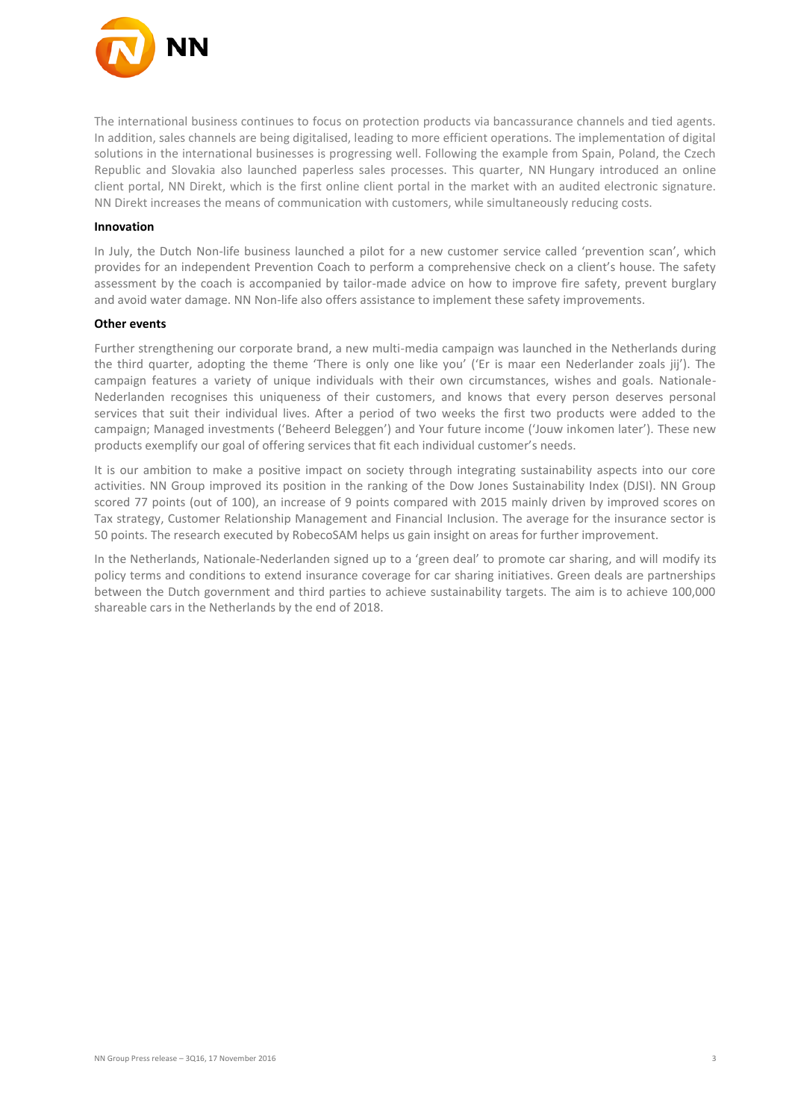

The international business continues to focus on protection products via bancassurance channels and tied agents. In addition, sales channels are being digitalised, leading to more efficient operations. The implementation of digital solutions in the international businesses is progressing well. Following the example from Spain, Poland, the Czech Republic and Slovakia also launched paperless sales processes. This quarter, NN Hungary introduced an online client portal, NN Direkt, which is the first online client portal in the market with an audited electronic signature. NN Direkt increases the means of communication with customers, while simultaneously reducing costs.

#### **Innovation**

In July, the Dutch Non-life business launched a pilot for a new customer service called 'prevention scan', which provides for an independent Prevention Coach to perform a comprehensive check on a client's house. The safety assessment by the coach is accompanied by tailor-made advice on how to improve fire safety, prevent burglary and avoid water damage. NN Non-life also offers assistance to implement these safety improvements.

#### **Other events**

Further strengthening our corporate brand, a new multi-media campaign was launched in the Netherlands during the third quarter, adopting the theme 'There is only one like you' ('Er is maar een Nederlander zoals jij'). The campaign features a variety of unique individuals with their own circumstances, wishes and goals. Nationale-Nederlanden recognises this uniqueness of their customers, and knows that every person deserves personal services that suit their individual lives. After a period of two weeks the first two products were added to the campaign; Managed investments ('Beheerd Beleggen') and Your future income ('Jouw inkomen later'). These new products exemplify our goal of offering services that fit each individual customer's needs.

It is our ambition to make a positive impact on society through integrating sustainability aspects into our core activities. NN Group improved its position in the ranking of the Dow Jones Sustainability Index (DJSI). NN Group scored 77 points (out of 100), an increase of 9 points compared with 2015 mainly driven by improved scores on Tax strategy, Customer Relationship Management and Financial Inclusion. The average for the insurance sector is 50 points. The research executed by RobecoSAM helps us gain insight on areas for further improvement.

In the Netherlands, Nationale-Nederlanden signed up to a 'green deal' to promote car sharing, and will modify its policy terms and conditions to extend insurance coverage for car sharing initiatives. Green deals are partnerships between the Dutch government and third parties to achieve sustainability targets. The aim is to achieve 100,000 shareable cars in the Netherlands by the end of 2018.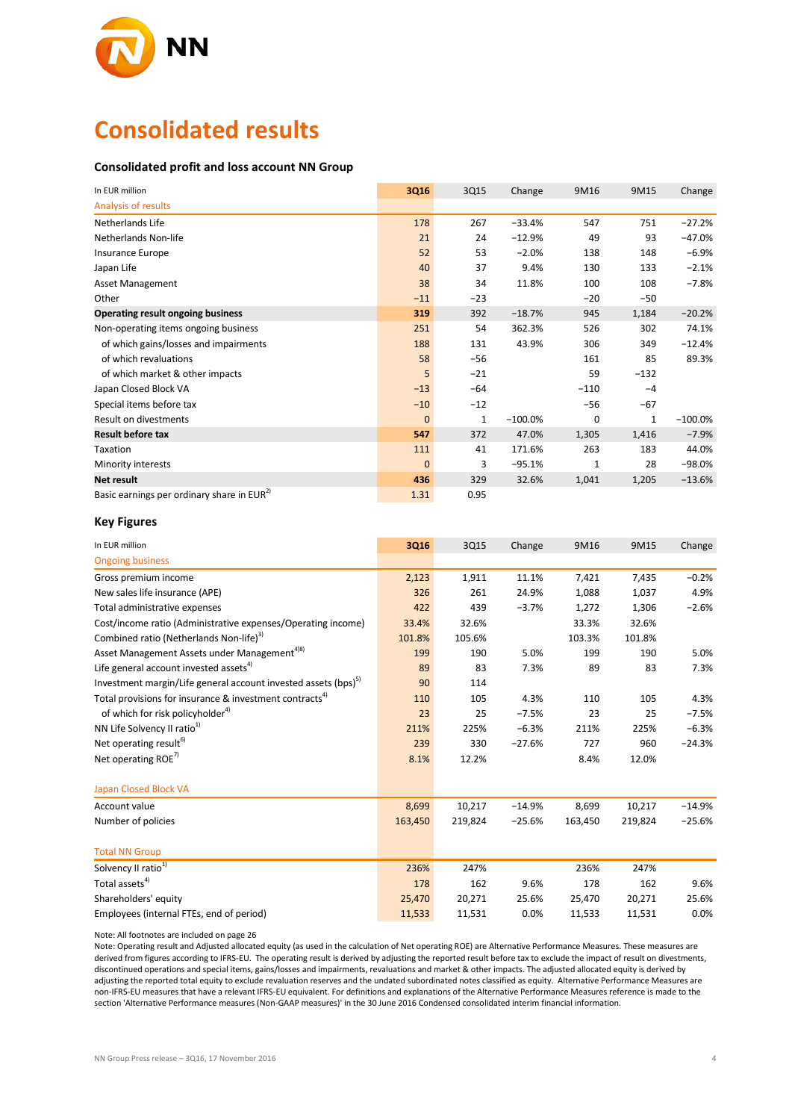

### **Consolidated results**

#### **Consolidated profit and loss account NN Group**

| In EUR million                                         | 3Q16         | 3Q15         | Change    | 9M16   | 9M15   | Change     |
|--------------------------------------------------------|--------------|--------------|-----------|--------|--------|------------|
| Analysis of results                                    |              |              |           |        |        |            |
| Netherlands Life                                       | 178          | 267          | $-33.4%$  | 547    | 751    | $-27.2%$   |
| Netherlands Non-life                                   | 21           | 24           | $-12.9%$  | 49     | 93     | $-47.0%$   |
| Insurance Europe                                       | 52           | 53           | $-2.0%$   | 138    | 148    | $-6.9%$    |
| Japan Life                                             | 40           | 37           | 9.4%      | 130    | 133    | $-2.1%$    |
| <b>Asset Management</b>                                | 38           | 34           | 11.8%     | 100    | 108    | $-7.8%$    |
| Other                                                  | $-11$        | $-23$        |           | $-20$  | $-50$  |            |
| Operating result ongoing business                      | 319          | 392          | $-18.7%$  | 945    | 1,184  | $-20.2%$   |
| Non-operating items ongoing business                   | 251          | 54           | 362.3%    | 526    | 302    | 74.1%      |
| of which gains/losses and impairments                  | 188          | 131          | 43.9%     | 306    | 349    | $-12.4%$   |
| of which revaluations                                  | 58           | $-56$        |           | 161    | 85     | 89.3%      |
| of which market & other impacts                        | 5            | $-21$        |           | 59     | $-132$ |            |
| Japan Closed Block VA                                  | $-13$        | $-64$        |           | $-110$ | $-4$   |            |
| Special items before tax                               | $-10$        | $-12$        |           | $-56$  | $-67$  |            |
| Result on divestments                                  | $\mathbf{0}$ | $\mathbf{1}$ | $-100.0%$ | 0      | 1      | $-100.0\%$ |
| <b>Result before tax</b>                               | 547          | 372          | 47.0%     | 1,305  | 1,416  | $-7.9%$    |
| Taxation                                               | 111          | 41           | 171.6%    | 263    | 183    | 44.0%      |
| Minority interests                                     | $\mathbf{0}$ | 3            | $-95.1%$  | 1      | 28     | $-98.0%$   |
| Net result                                             | 436          | 329          | 32.6%     | 1,041  | 1,205  | $-13.6%$   |
| Basic earnings per ordinary share in EUR <sup>2)</sup> | 1.31         | 0.95         |           |        |        |            |

#### **Key Figures**

| In EUR million                                                             | 3Q16    | 3Q15    | Change   | 9M16    | 9M15    | Change   |
|----------------------------------------------------------------------------|---------|---------|----------|---------|---------|----------|
| <b>Ongoing business</b>                                                    |         |         |          |         |         |          |
| Gross premium income                                                       | 2,123   | 1,911   | 11.1%    | 7,421   | 7,435   | $-0.2%$  |
| New sales life insurance (APE)                                             | 326     | 261     | 24.9%    | 1,088   | 1,037   | 4.9%     |
| Total administrative expenses                                              | 422     | 439     | $-3.7%$  | 1,272   | 1,306   | $-2.6%$  |
| Cost/income ratio (Administrative expenses/Operating income)               | 33.4%   | 32.6%   |          | 33.3%   | 32.6%   |          |
| Combined ratio (Netherlands Non-life) <sup>3)</sup>                        | 101.8%  | 105.6%  |          | 103.3%  | 101.8%  |          |
| Asset Management Assets under Management <sup>4)8)</sup>                   | 199     | 190     | 5.0%     | 199     | 190     | 5.0%     |
| Life general account invested assets <sup>4)</sup>                         | 89      | 83      | 7.3%     | 89      | 83      | 7.3%     |
| Investment margin/Life general account invested assets (bps) <sup>5)</sup> | 90      | 114     |          |         |         |          |
| Total provisions for insurance & investment contracts <sup>4)</sup>        | 110     | 105     | 4.3%     | 110     | 105     | 4.3%     |
| of which for risk policyholder <sup>4)</sup>                               | 23      | 25      | $-7.5%$  | 23      | 25      | $-7.5%$  |
| NN Life Solvency II ratio <sup>1)</sup>                                    | 211%    | 225%    | $-6.3%$  | 211%    | 225%    | $-6.3%$  |
| Net operating result <sup>6)</sup>                                         | 239     | 330     | $-27.6%$ | 727     | 960     | $-24.3%$ |
| Net operating ROE <sup>7)</sup>                                            | 8.1%    | 12.2%   |          | 8.4%    | 12.0%   |          |
| <b>Japan Closed Block VA</b>                                               |         |         |          |         |         |          |
| Account value                                                              | 8,699   | 10,217  | $-14.9%$ | 8,699   | 10,217  | $-14.9%$ |
| Number of policies                                                         | 163,450 | 219,824 | $-25.6%$ | 163,450 | 219,824 | $-25.6%$ |
| <b>Total NN Group</b>                                                      |         |         |          |         |         |          |
| Solvency II ratio <sup>1)</sup>                                            | 236%    | 247%    |          | 236%    | 247%    |          |
| Total assets <sup>4)</sup>                                                 | 178     | 162     | 9.6%     | 178     | 162     | 9.6%     |
| Shareholders' equity                                                       | 25,470  | 20,271  | 25.6%    | 25,470  | 20,271  | 25.6%    |
| Employees (internal FTEs, end of period)                                   | 11,533  | 11,531  | 0.0%     | 11,533  | 11,531  | 0.0%     |

Note: All footnotes are included on page 26

Note: Operating result and Adjusted allocated equity (as used in the calculation of Net operating ROE) are Alternative Performance Measures. These measures are derived from figures according to IFRS-EU. The operating result is derived by adjusting the reported result before tax to exclude the impact of result on divestments, discontinued operations and special items, gains/losses and impairments, revaluations and market & other impacts. The adjusted allocated equity is derived by adjusting the reported total equity to exclude revaluation reserves and the undated subordinated notes classified as equity. Alternative Performance Measures are non-IFRS-EU measures that have a relevant IFRS-EU equivalent. For definitions and explanations of the Alternative Performance Measures reference is made to the section 'Alternative Performance measures (Non-GAAP measures)' in the 30 June 2016 Condensed consolidated interim financial information.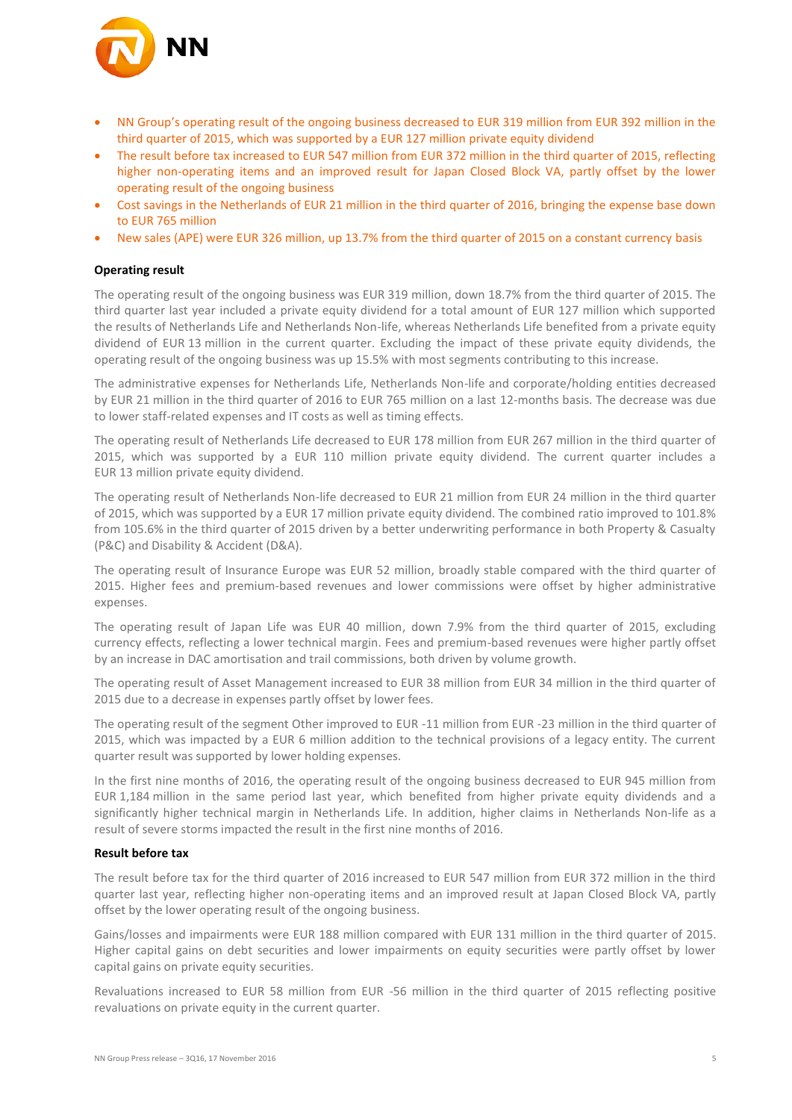

- NN Group's operating result of the ongoing business decreased to EUR 319 million from EUR 392 million in the third quarter of 2015, which was supported by a EUR 127 million private equity dividend
- The result before tax increased to EUR 547 million from EUR 372 million in the third quarter of 2015, reflecting higher non-operating items and an improved result for Japan Closed Block VA, partly offset by the lower operating result of the ongoing business
- Cost savings in the Netherlands of EUR 21 million in the third quarter of 2016, bringing the expense base down to EUR 765 million
- New sales (APE) were EUR 326 million, up 13.7% from the third quarter of 2015 on a constant currency basis

#### **Operating result**

The operating result of the ongoing business was EUR 319 million, down 18.7% from the third quarter of 2015. The third quarter last year included a private equity dividend for a total amount of EUR 127 million which supported the results of Netherlands Life and Netherlands Non-life, whereas Netherlands Life benefited from a private equity dividend of EUR 13 million in the current quarter. Excluding the impact of these private equity dividends, the operating result of the ongoing business was up 15.5% with most segments contributing to this increase.

The administrative expenses for Netherlands Life, Netherlands Non-life and corporate/holding entities decreased by EUR 21 million in the third quarter of 2016 to EUR 765 million on a last 12-months basis. The decrease was due to lower staff-related expenses and IT costs as well as timing effects.

The operating result of Netherlands Life decreased to EUR 178 million from EUR 267 million in the third quarter of 2015, which was supported by a EUR 110 million private equity dividend. The current quarter includes a EUR 13 million private equity dividend.

The operating result of Netherlands Non-life decreased to EUR 21 million from EUR 24 million in the third quarter of 2015, which was supported by a EUR 17 million private equity dividend. The combined ratio improved to 101.8% from 105.6% in the third quarter of 2015 driven by a better underwriting performance in both Property & Casualty (P&C) and Disability & Accident (D&A).

The operating result of Insurance Europe was EUR 52 million, broadly stable compared with the third quarter of 2015. Higher fees and premium-based revenues and lower commissions were offset by higher administrative expenses.

The operating result of Japan Life was EUR 40 million, down 7.9% from the third quarter of 2015, excluding currency effects, reflecting a lower technical margin. Fees and premium-based revenues were higher partly offset by an increase in DAC amortisation and trail commissions, both driven by volume growth.

The operating result of Asset Management increased to EUR 38 million from EUR 34 million in the third quarter of 2015 due to a decrease in expenses partly offset by lower fees.

The operating result of the segment Other improved to EUR -11 million from EUR -23 million in the third quarter of 2015, which was impacted by a EUR 6 million addition to the technical provisions of a legacy entity. The current quarter result was supported by lower holding expenses.

In the first nine months of 2016, the operating result of the ongoing business decreased to EUR 945 million from EUR 1,184 million in the same period last year, which benefited from higher private equity dividends and a significantly higher technical margin in Netherlands Life. In addition, higher claims in Netherlands Non-life as a result of severe storms impacted the result in the first nine months of 2016.

#### **Result before tax**

The result before tax for the third quarter of 2016 increased to EUR 547 million from EUR 372 million in the third quarter last year, reflecting higher non-operating items and an improved result at Japan Closed Block VA, partly offset by the lower operating result of the ongoing business.

Gains/losses and impairments were EUR 188 million compared with EUR 131 million in the third quarter of 2015. Higher capital gains on debt securities and lower impairments on equity securities were partly offset by lower capital gains on private equity securities.

Revaluations increased to EUR 58 million from EUR -56 million in the third quarter of 2015 reflecting positive revaluations on private equity in the current quarter.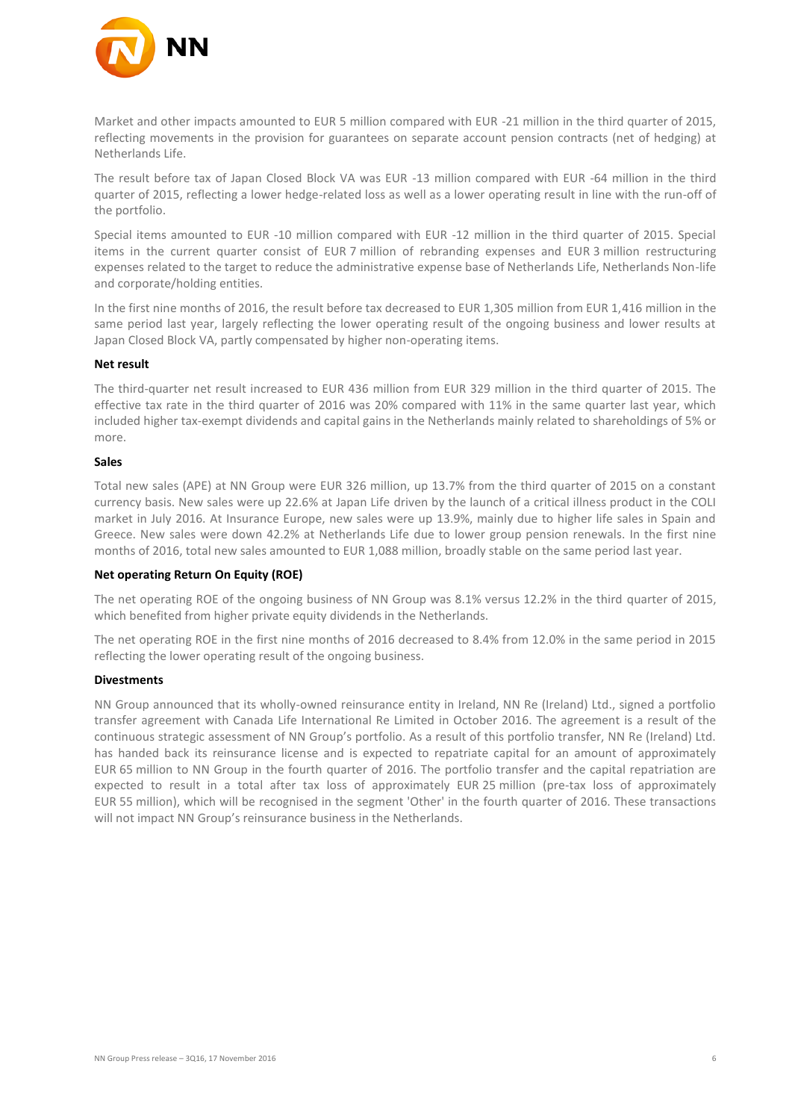

Market and other impacts amounted to EUR 5 million compared with EUR -21 million in the third quarter of 2015, reflecting movements in the provision for guarantees on separate account pension contracts (net of hedging) at Netherlands Life.

The result before tax of Japan Closed Block VA was EUR -13 million compared with EUR -64 million in the third quarter of 2015, reflecting a lower hedge-related loss as well as a lower operating result in line with the run-off of the portfolio.

Special items amounted to EUR -10 million compared with EUR -12 million in the third quarter of 2015. Special items in the current quarter consist of EUR 7 million of rebranding expenses and EUR 3 million restructuring expenses related to the target to reduce the administrative expense base of Netherlands Life, Netherlands Non-life and corporate/holding entities.

In the first nine months of 2016, the result before tax decreased to EUR 1,305 million from EUR 1,416 million in the same period last year, largely reflecting the lower operating result of the ongoing business and lower results at Japan Closed Block VA, partly compensated by higher non-operating items.

#### **Net result**

The third-quarter net result increased to EUR 436 million from EUR 329 million in the third quarter of 2015. The effective tax rate in the third quarter of 2016 was 20% compared with 11% in the same quarter last year, which included higher tax-exempt dividends and capital gains in the Netherlands mainly related to shareholdings of 5% or more.

#### **Sales**

Total new sales (APE) at NN Group were EUR 326 million, up 13.7% from the third quarter of 2015 on a constant currency basis. New sales were up 22.6% at Japan Life driven by the launch of a critical illness product in the COLI market in July 2016. At Insurance Europe, new sales were up 13.9%, mainly due to higher life sales in Spain and Greece. New sales were down 42.2% at Netherlands Life due to lower group pension renewals. In the first nine months of 2016, total new sales amounted to EUR 1,088 million, broadly stable on the same period last year.

#### **Net operating Return On Equity (ROE)**

The net operating ROE of the ongoing business of NN Group was 8.1% versus 12.2% in the third quarter of 2015, which benefited from higher private equity dividends in the Netherlands.

The net operating ROE in the first nine months of 2016 decreased to 8.4% from 12.0% in the same period in 2015 reflecting the lower operating result of the ongoing business.

#### **Divestments**

NN Group announced that its wholly-owned reinsurance entity in Ireland, NN Re (Ireland) Ltd., signed a portfolio transfer agreement with Canada Life International Re Limited in October 2016. The agreement is a result of the continuous strategic assessment of NN Group's portfolio. As a result of this portfolio transfer, NN Re (Ireland) Ltd. has handed back its reinsurance license and is expected to repatriate capital for an amount of approximately EUR 65 million to NN Group in the fourth quarter of 2016. The portfolio transfer and the capital repatriation are expected to result in a total after tax loss of approximately EUR 25 million (pre-tax loss of approximately EUR 55 million), which will be recognised in the segment 'Other' in the fourth quarter of 2016. These transactions will not impact NN Group's reinsurance business in the Netherlands.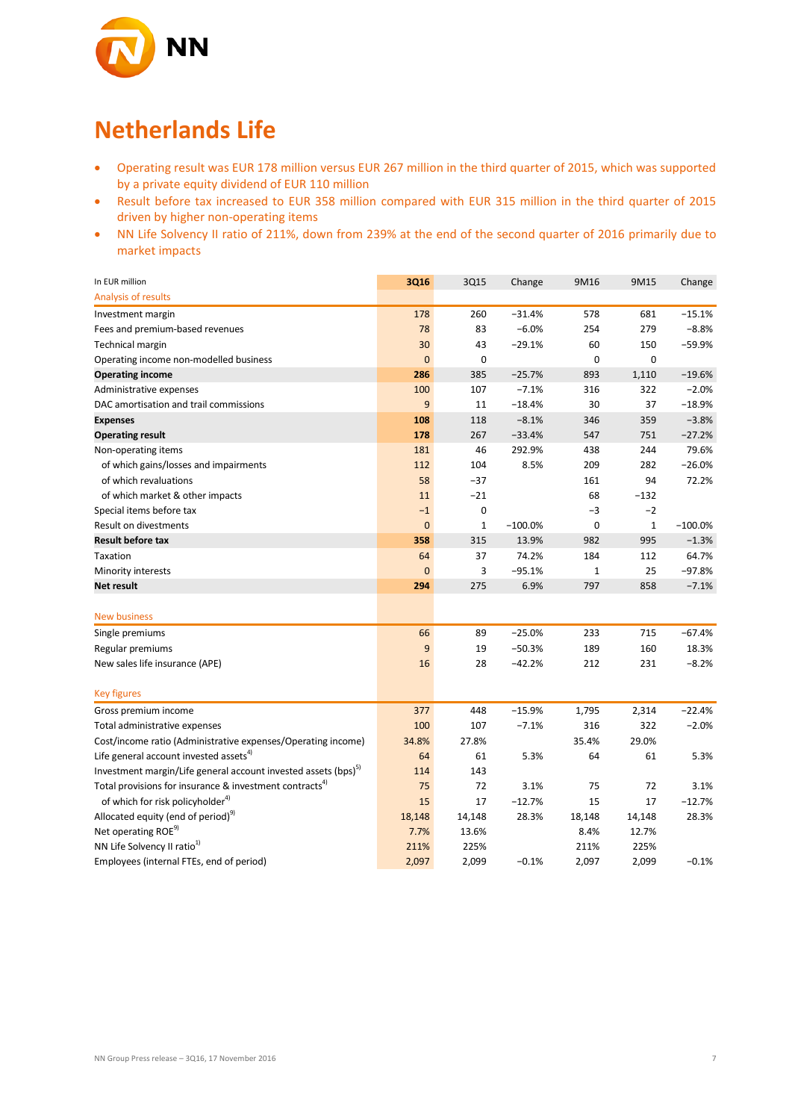

## **Netherlands Life**

- Operating result was EUR 178 million versus EUR 267 million in the third quarter of 2015, which was supported by a private equity dividend of EUR 110 million
- Result before tax increased to EUR 358 million compared with EUR 315 million in the third quarter of 2015 driven by higher non-operating items
- NN Life Solvency II ratio of 211%, down from 239% at the end of the second quarter of 2016 primarily due to market impacts

| In EUR million                                                                                | 3Q16           | 3Q15          | Change    | 9M16         | 9M15          | Change    |
|-----------------------------------------------------------------------------------------------|----------------|---------------|-----------|--------------|---------------|-----------|
| <b>Analysis of results</b>                                                                    |                |               |           |              |               |           |
| Investment margin                                                                             | 178            | 260           | $-31.4%$  | 578          | 681           | $-15.1%$  |
| Fees and premium-based revenues                                                               | 78             | 83            | $-6.0%$   | 254          | 279           | $-8.8%$   |
| <b>Technical margin</b>                                                                       | 30             | 43            | $-29.1%$  | 60           | 150           | $-59.9%$  |
| Operating income non-modelled business                                                        | $\overline{0}$ | 0             |           | 0            | $\mathbf 0$   |           |
| <b>Operating income</b>                                                                       | 286            | 385           | $-25.7%$  | 893          | 1,110         | $-19.6%$  |
| Administrative expenses                                                                       | 100            | 107           | $-7.1%$   | 316          | 322           | $-2.0%$   |
| DAC amortisation and trail commissions                                                        | 9              | 11            | $-18.4%$  | 30           | 37            | $-18.9%$  |
| <b>Expenses</b>                                                                               | 108            | 118           | $-8.1%$   | 346          | 359           | $-3.8%$   |
| <b>Operating result</b>                                                                       | 178            | 267           | $-33.4%$  | 547          | 751           | $-27.2%$  |
| Non-operating items                                                                           | 181            | 46            | 292.9%    | 438          | 244           | 79.6%     |
| of which gains/losses and impairments                                                         | 112            | 104           | 8.5%      | 209          | 282           | $-26.0%$  |
| of which revaluations                                                                         | 58             | $-37$         |           | 161          | 94            | 72.2%     |
| of which market & other impacts                                                               | 11             | $-21$         |           | 68           | $-132$        |           |
| Special items before tax                                                                      | $-1$           | 0             |           | $-3$         | $-2$          |           |
| <b>Result on divestments</b>                                                                  | $\overline{0}$ | $\mathbf{1}$  | $-100.0%$ | 0            | $\mathbf 1$   | $-100.0%$ |
| <b>Result before tax</b>                                                                      | 358            | 315           | 13.9%     | 982          | 995           | $-1.3%$   |
| Taxation                                                                                      | 64             | 37            | 74.2%     | 184          | 112           | 64.7%     |
| Minority interests                                                                            | $\overline{0}$ | 3             | $-95.1%$  | $\mathbf{1}$ | 25            | $-97.8%$  |
| Net result                                                                                    | 294            | 275           | 6.9%      | 797          | 858           | $-7.1%$   |
|                                                                                               |                |               |           |              |               |           |
| <b>New business</b>                                                                           |                |               |           |              |               |           |
| Single premiums                                                                               | 66             | 89            | $-25.0%$  | 233          | 715           | $-67.4%$  |
| Regular premiums                                                                              | 9              | 19            | $-50.3%$  | 189          | 160           | 18.3%     |
| New sales life insurance (APE)                                                                | 16             | 28            | $-42.2%$  | 212          | 231           | $-8.2%$   |
| <b>Key figures</b>                                                                            |                |               |           |              |               |           |
|                                                                                               | 377            |               | $-15.9%$  | 1,795        |               | $-22.4%$  |
| Gross premium income                                                                          | 100            | 448<br>107    | $-7.1%$   | 316          | 2,314<br>322  | $-2.0%$   |
| Total administrative expenses<br>Cost/income ratio (Administrative expenses/Operating income) | 34.8%          | 27.8%         |           | 35.4%        | 29.0%         |           |
| Life general account invested assets <sup>4)</sup>                                            | 64             | 61            | 5.3%      | 64           | 61            | 5.3%      |
| Investment margin/Life general account invested assets (bps) <sup>5)</sup>                    | 114            | 143           |           |              |               |           |
| Total provisions for insurance & investment contracts <sup>4)</sup>                           | 75             | 72            | 3.1%      | 75           | 72            | 3.1%      |
|                                                                                               | 15             | 17            | $-12.7%$  | 15           | 17            | $-12.7%$  |
| of which for risk policyholder <sup>4)</sup>                                                  |                |               |           |              |               |           |
| Allocated equity (end of period) <sup>9)</sup><br>Net operating ROE <sup>9)</sup>             | 18,148<br>7.7% | 14,148        | 28.3%     | 18,148       | 14,148        | 28.3%     |
| NN Life Solvency II ratio <sup>1)</sup>                                                       | 211%           | 13.6%<br>225% |           | 8.4%         | 12.7%<br>225% |           |
| Employees (internal FTEs, end of period)                                                      |                |               |           | 211%         |               |           |
|                                                                                               | 2,097          | 2,099         | $-0.1%$   | 2,097        | 2,099         | $-0.1%$   |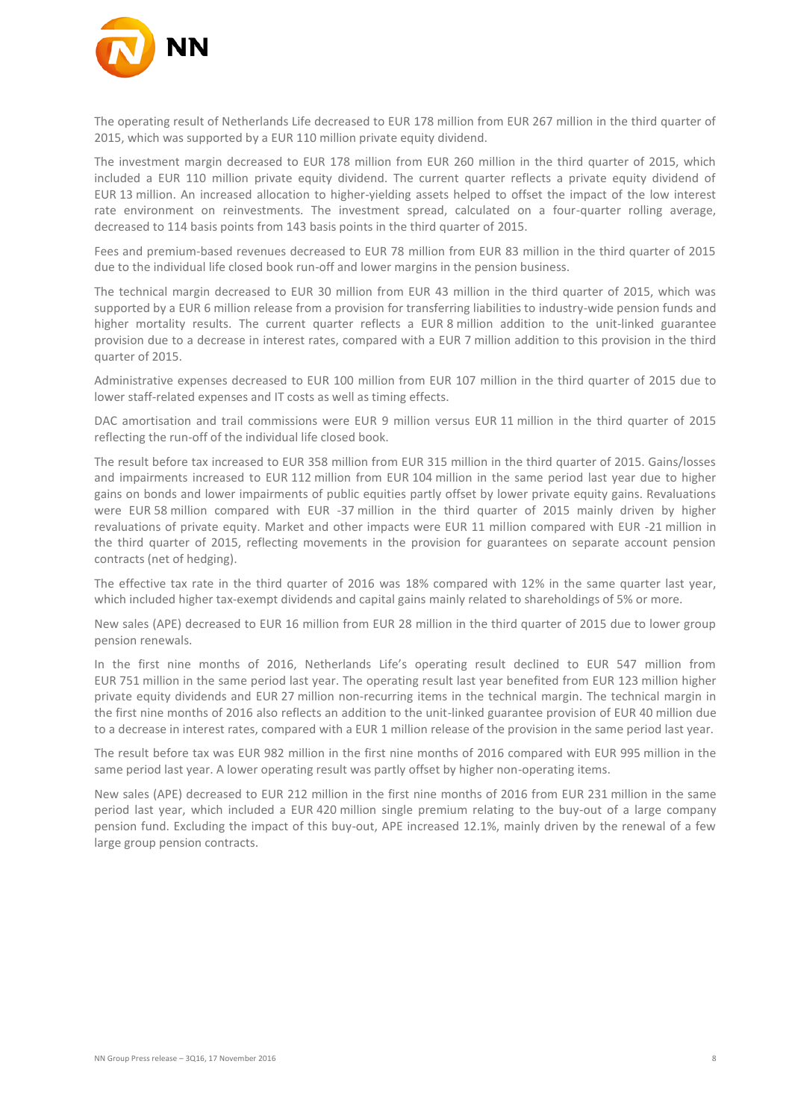

The operating result of Netherlands Life decreased to EUR 178 million from EUR 267 million in the third quarter of 2015, which was supported by a EUR 110 million private equity dividend.

The investment margin decreased to EUR 178 million from EUR 260 million in the third quarter of 2015, which included a EUR 110 million private equity dividend. The current quarter reflects a private equity dividend of EUR 13 million. An increased allocation to higher-yielding assets helped to offset the impact of the low interest rate environment on reinvestments. The investment spread, calculated on a four-quarter rolling average, decreased to 114 basis points from 143 basis points in the third quarter of 2015.

Fees and premium-based revenues decreased to EUR 78 million from EUR 83 million in the third quarter of 2015 due to the individual life closed book run-off and lower margins in the pension business.

The technical margin decreased to EUR 30 million from EUR 43 million in the third quarter of 2015, which was supported by a EUR 6 million release from a provision for transferring liabilities to industry-wide pension funds and higher mortality results. The current quarter reflects a EUR 8 million addition to the unit-linked guarantee provision due to a decrease in interest rates, compared with a EUR 7 million addition to this provision in the third quarter of 2015.

Administrative expenses decreased to EUR 100 million from EUR 107 million in the third quarter of 2015 due to lower staff-related expenses and IT costs as well as timing effects.

DAC amortisation and trail commissions were EUR 9 million versus EUR 11 million in the third quarter of 2015 reflecting the run-off of the individual life closed book.

The result before tax increased to EUR 358 million from EUR 315 million in the third quarter of 2015. Gains/losses and impairments increased to EUR 112 million from EUR 104 million in the same period last year due to higher gains on bonds and lower impairments of public equities partly offset by lower private equity gains. Revaluations were EUR 58 million compared with EUR -37 million in the third quarter of 2015 mainly driven by higher revaluations of private equity. Market and other impacts were EUR 11 million compared with EUR -21 million in the third quarter of 2015, reflecting movements in the provision for guarantees on separate account pension contracts (net of hedging).

The effective tax rate in the third quarter of 2016 was 18% compared with 12% in the same quarter last year, which included higher tax-exempt dividends and capital gains mainly related to shareholdings of 5% or more.

New sales (APE) decreased to EUR 16 million from EUR 28 million in the third quarter of 2015 due to lower group pension renewals.

In the first nine months of 2016, Netherlands Life's operating result declined to EUR 547 million from EUR 751 million in the same period last year. The operating result last year benefited from EUR 123 million higher private equity dividends and EUR 27 million non-recurring items in the technical margin. The technical margin in the first nine months of 2016 also reflects an addition to the unit-linked guarantee provision of EUR 40 million due to a decrease in interest rates, compared with a EUR 1 million release of the provision in the same period last year.

The result before tax was EUR 982 million in the first nine months of 2016 compared with EUR 995 million in the same period last year. A lower operating result was partly offset by higher non-operating items.

New sales (APE) decreased to EUR 212 million in the first nine months of 2016 from EUR 231 million in the same period last year, which included a EUR 420 million single premium relating to the buy-out of a large company pension fund. Excluding the impact of this buy-out, APE increased 12.1%, mainly driven by the renewal of a few large group pension contracts.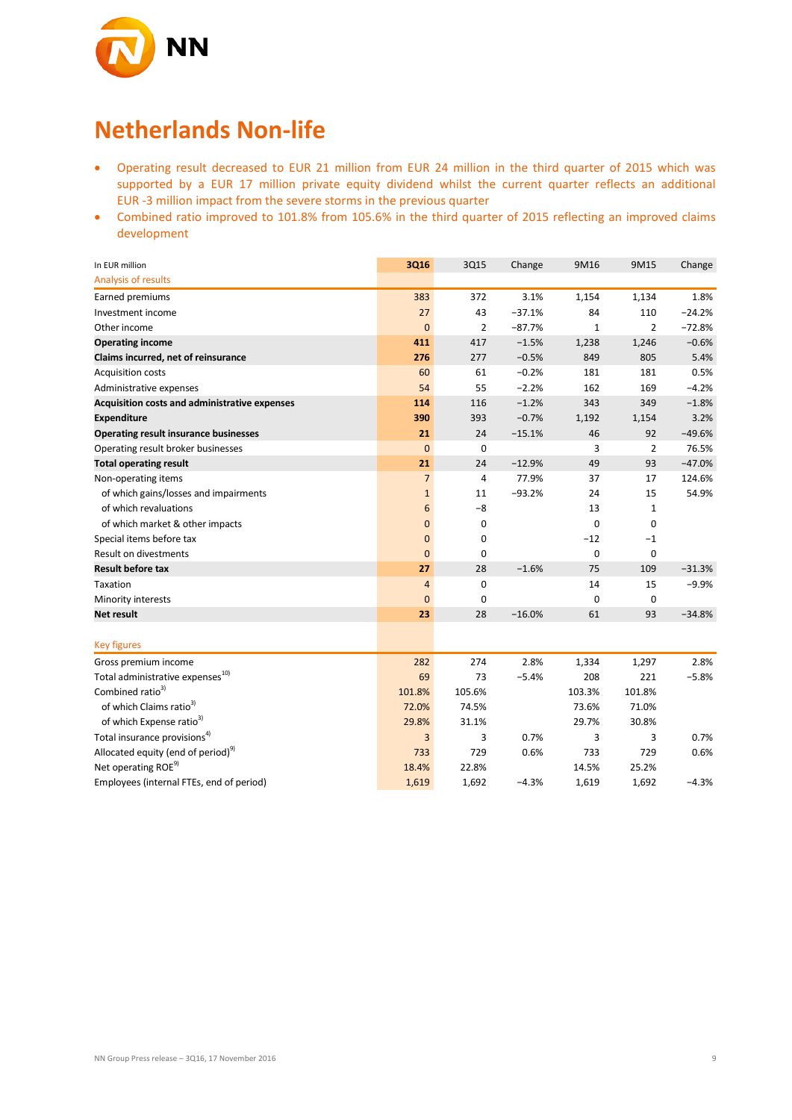

### **Netherlands Non-life**

- Operating result decreased to EUR 21 million from EUR 24 million in the third quarter of 2015 which was supported by a EUR 17 million private equity dividend whilst the current quarter reflects an additional EUR -3 million impact from the severe storms in the previous quarter
- Combined ratio improved to 101.8% from 105.6% in the third quarter of 2015 reflecting an improved claims development

| In EUR million                                 | 3Q16            | 3Q15           | Change   | 9M16         | 9M15           | Change   |
|------------------------------------------------|-----------------|----------------|----------|--------------|----------------|----------|
| Analysis of results                            |                 |                |          |              |                |          |
| Earned premiums                                | 383             | 372            | 3.1%     | 1,154        | 1,134          | 1.8%     |
| Investment income                              | 27              | 43             | $-37.1%$ | 84           | 110            | $-24.2%$ |
| Other income                                   | $\mathbf{0}$    | $\overline{2}$ | $-87.7%$ | $\mathbf{1}$ | $\overline{2}$ | $-72.8%$ |
| <b>Operating income</b>                        | 411             | 417            | $-1.5%$  | 1,238        | 1,246          | $-0.6%$  |
| Claims incurred, net of reinsurance            | 276             | 277            | $-0.5%$  | 849          | 805            | 5.4%     |
| <b>Acquisition costs</b>                       | 60              | 61             | $-0.2%$  | 181          | 181            | 0.5%     |
| Administrative expenses                        | 54              | 55             | $-2.2%$  | 162          | 169            | $-4.2%$  |
| Acquisition costs and administrative expenses  | 114             | 116            | $-1.2%$  | 343          | 349            | $-1.8%$  |
| <b>Expenditure</b>                             | 390             | 393            | $-0.7%$  | 1,192        | 1,154          | 3.2%     |
| <b>Operating result insurance businesses</b>   | 21              | 24             | $-15.1%$ | 46           | 92             | $-49.6%$ |
| Operating result broker businesses             | $\mathbf{0}$    | $\mathbf 0$    |          | 3            | $\overline{2}$ | 76.5%    |
| <b>Total operating result</b>                  | 21              | 24             | $-12.9%$ | 49           | 93             | $-47.0%$ |
| Non-operating items                            | $\overline{7}$  | $\overline{a}$ | 77.9%    | 37           | 17             | 124.6%   |
| of which gains/losses and impairments          | $\mathbf{1}$    | 11             | $-93.2%$ | 24           | 15             | 54.9%    |
| of which revaluations                          | $6\phantom{1}6$ | $-8$           |          | 13           | $\mathbf{1}$   |          |
| of which market & other impacts                | $\mathbf{0}$    | 0              |          | 0            | 0              |          |
| Special items before tax                       | $\mathbf{0}$    | 0              |          | $-12$        | $-1$           |          |
| <b>Result on divestments</b>                   | $\mathbf{0}$    | 0              |          | 0            | 0              |          |
| <b>Result before tax</b>                       | 27              | 28             | $-1.6%$  | 75           | 109            | $-31.3%$ |
| Taxation                                       | $\overline{4}$  | $\mathbf 0$    |          | 14           | 15             | $-9.9%$  |
| Minority interests                             | $\overline{0}$  | $\mathbf 0$    |          | 0            | 0              |          |
| Net result                                     | 23              | 28             | $-16.0%$ | 61           | 93             | $-34.8%$ |
|                                                |                 |                |          |              |                |          |
| <b>Key figures</b>                             |                 |                |          |              |                |          |
| Gross premium income                           | 282             | 274            | 2.8%     | 1,334        | 1,297          | 2.8%     |
| Total administrative expenses <sup>10)</sup>   | 69              | 73             | $-5.4%$  | 208          | 221            | $-5.8%$  |
| Combined ratio <sup>3)</sup>                   | 101.8%          | 105.6%         |          | 103.3%       | 101.8%         |          |
| of which Claims ratio <sup>3)</sup>            | 72.0%           | 74.5%          |          | 73.6%        | 71.0%          |          |
| of which Expense ratio <sup>3)</sup>           | 29.8%           | 31.1%          |          | 29.7%        | 30.8%          |          |
| Total insurance provisions <sup>4)</sup>       | 3               | 3              | 0.7%     | 3            | 3              | 0.7%     |
| Allocated equity (end of period) <sup>9)</sup> | 733             | 729            | 0.6%     | 733          | 729            | 0.6%     |
| Net operating ROE <sup>9)</sup>                | 18.4%           | 22.8%          |          | 14.5%        | 25.2%          |          |
| Employees (internal FTEs, end of period)       | 1,619           | 1,692          | $-4.3%$  | 1,619        | 1,692          | $-4.3%$  |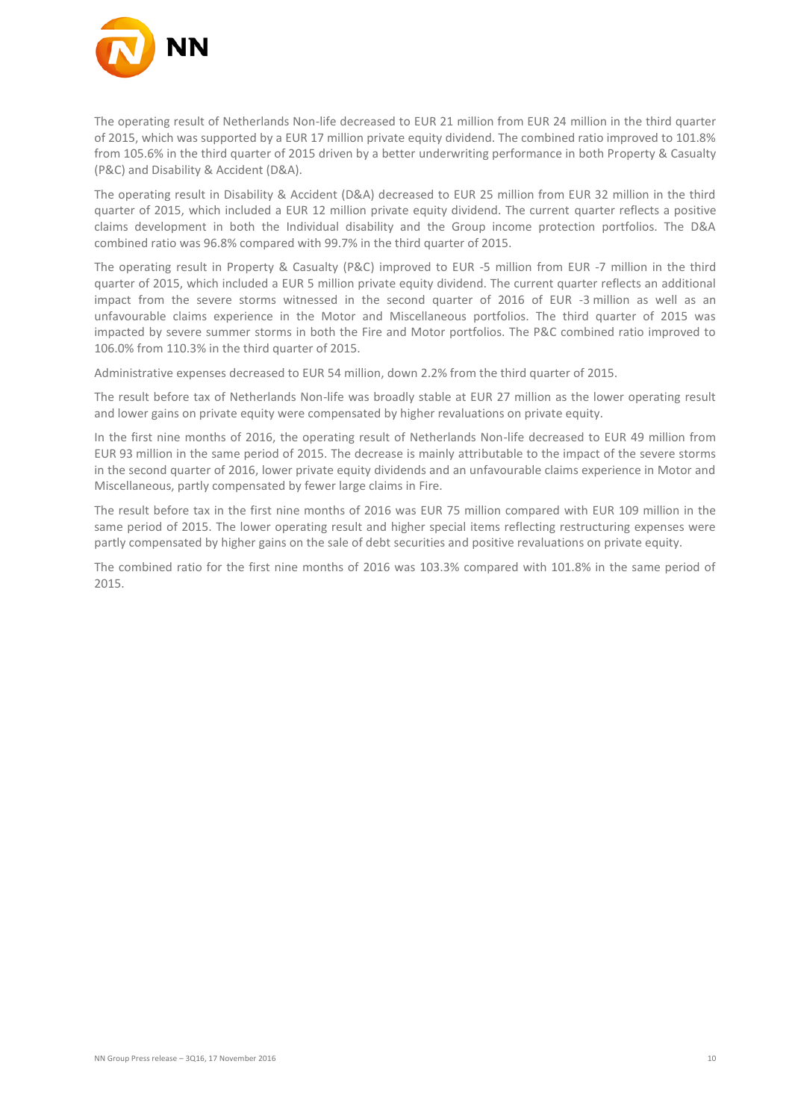

The operating result of Netherlands Non-life decreased to EUR 21 million from EUR 24 million in the third quarter of 2015, which was supported by a EUR 17 million private equity dividend. The combined ratio improved to 101.8% from 105.6% in the third quarter of 2015 driven by a better underwriting performance in both Property & Casualty (P&C) and Disability & Accident (D&A).

The operating result in Disability & Accident (D&A) decreased to EUR 25 million from EUR 32 million in the third quarter of 2015, which included a EUR 12 million private equity dividend. The current quarter reflects a positive claims development in both the Individual disability and the Group income protection portfolios. The D&A combined ratio was 96.8% compared with 99.7% in the third quarter of 2015.

The operating result in Property & Casualty (P&C) improved to EUR -5 million from EUR -7 million in the third quarter of 2015, which included a EUR 5 million private equity dividend. The current quarter reflects an additional impact from the severe storms witnessed in the second quarter of 2016 of EUR -3 million as well as an unfavourable claims experience in the Motor and Miscellaneous portfolios. The third quarter of 2015 was impacted by severe summer storms in both the Fire and Motor portfolios. The P&C combined ratio improved to 106.0% from 110.3% in the third quarter of 2015.

Administrative expenses decreased to EUR 54 million, down 2.2% from the third quarter of 2015.

The result before tax of Netherlands Non-life was broadly stable at EUR 27 million as the lower operating result and lower gains on private equity were compensated by higher revaluations on private equity.

In the first nine months of 2016, the operating result of Netherlands Non-life decreased to EUR 49 million from EUR 93 million in the same period of 2015. The decrease is mainly attributable to the impact of the severe storms in the second quarter of 2016, lower private equity dividends and an unfavourable claims experience in Motor and Miscellaneous, partly compensated by fewer large claims in Fire.

The result before tax in the first nine months of 2016 was EUR 75 million compared with EUR 109 million in the same period of 2015. The lower operating result and higher special items reflecting restructuring expenses were partly compensated by higher gains on the sale of debt securities and positive revaluations on private equity.

The combined ratio for the first nine months of 2016 was 103.3% compared with 101.8% in the same period of 2015.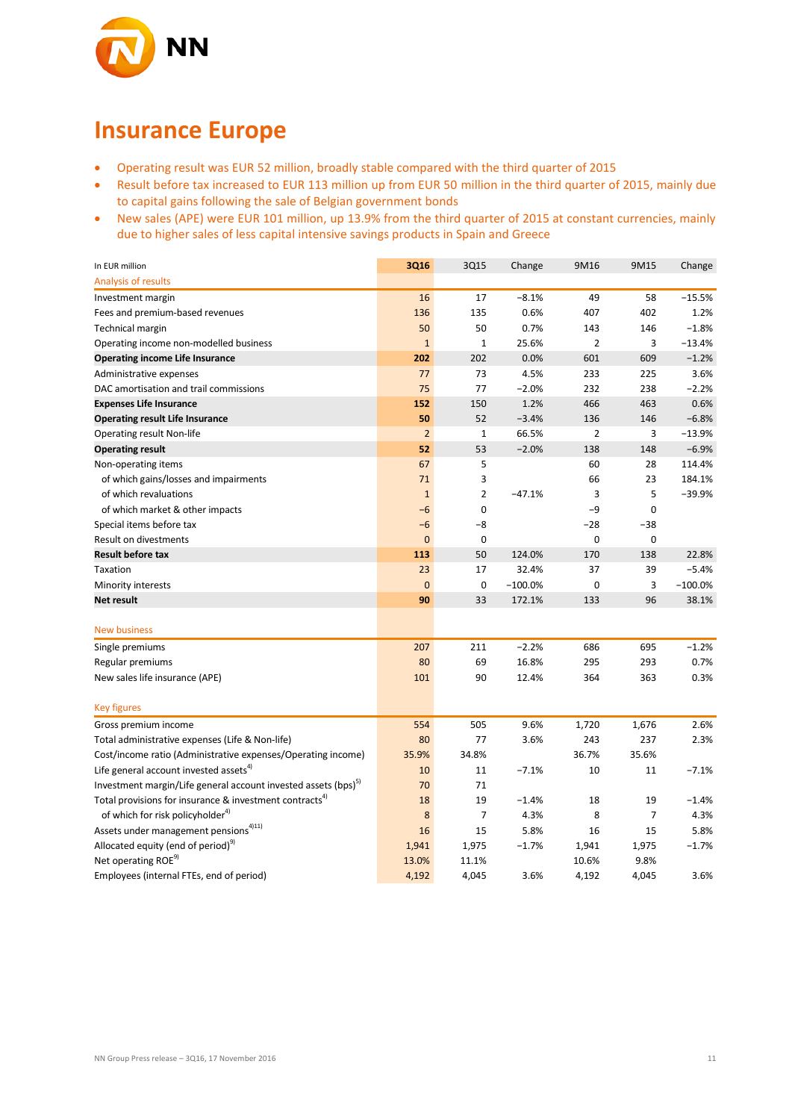

## **Insurance Europe**

- Operating result was EUR 52 million, broadly stable compared with the third quarter of 2015
- Result before tax increased to EUR 113 million up from EUR 50 million in the third quarter of 2015, mainly due to capital gains following the sale of Belgian government bonds
- New sales (APE) were EUR 101 million, up 13.9% from the third quarter of 2015 at constant currencies, mainly due to higher sales of less capital intensive savings products in Spain and Greece

| In EUR million                                                             | 3Q16           | 3Q15           | Change    | 9M16           | 9M15     | Change    |
|----------------------------------------------------------------------------|----------------|----------------|-----------|----------------|----------|-----------|
| Analysis of results                                                        |                |                |           |                |          |           |
| Investment margin                                                          | 16             | 17             | $-8.1%$   | 49             | 58       | $-15.5%$  |
| Fees and premium-based revenues                                            | 136            | 135            | 0.6%      | 407            | 402      | 1.2%      |
| Technical margin                                                           | 50             | 50             | 0.7%      | 143            | 146      | $-1.8%$   |
| Operating income non-modelled business                                     | $\mathbf{1}$   | $\mathbf{1}$   | 25.6%     | $\overline{2}$ | 3        | $-13.4%$  |
| <b>Operating income Life Insurance</b>                                     | 202            | 202            | 0.0%      | 601            | 609      | $-1.2%$   |
| Administrative expenses                                                    | 77             | 73             | 4.5%      | 233            | 225      | 3.6%      |
| DAC amortisation and trail commissions                                     | 75             | 77             | $-2.0%$   | 232            | 238      | $-2.2%$   |
| <b>Expenses Life Insurance</b>                                             | 152            | 150            | 1.2%      | 466            | 463      | 0.6%      |
| <b>Operating result Life Insurance</b>                                     | 50             | 52             | $-3.4%$   | 136            | 146      | $-6.8%$   |
| Operating result Non-life                                                  | $\overline{2}$ | $\mathbf{1}$   | 66.5%     | $\overline{2}$ | 3        | $-13.9%$  |
| <b>Operating result</b>                                                    | 52             | 53             | $-2.0%$   | 138            | 148      | $-6.9%$   |
| Non-operating items                                                        | 67             | 5              |           | 60             | 28       | 114.4%    |
| of which gains/losses and impairments                                      | 71             | 3              |           | 66             | 23       | 184.1%    |
| of which revaluations                                                      | $\mathbf{1}$   | $\overline{2}$ | $-47.1%$  | 3              | 5        | $-39.9%$  |
| of which market & other impacts                                            | $-6$           | $\mathbf 0$    |           | -9             | 0        |           |
| Special items before tax                                                   | $-6$           | $-8$           |           | $-28$          | $-38$    |           |
| Result on divestments                                                      | $\overline{0}$ | $\mathbf 0$    |           | 0              | $\bf{0}$ |           |
| <b>Result before tax</b>                                                   | 113            | 50             | 124.0%    | 170            | 138      | 22.8%     |
| Taxation                                                                   | 23             | 17             | 32.4%     | 37             | 39       | $-5.4%$   |
| Minority interests                                                         | $\Omega$       | $\mathbf 0$    | $-100.0%$ | $\mathbf 0$    | 3        | $-100.0%$ |
| <b>Net result</b>                                                          | 90             | 33             | 172.1%    | 133            | 96       | 38.1%     |
| <b>New business</b>                                                        |                |                |           |                |          |           |
| Single premiums                                                            | 207            | 211            | $-2.2%$   | 686            | 695      | $-1.2%$   |
| Regular premiums                                                           | 80             | 69             | 16.8%     | 295            | 293      | 0.7%      |
| New sales life insurance (APE)                                             | 101            | 90             | 12.4%     | 364            | 363      | 0.3%      |
|                                                                            |                |                |           |                |          |           |
| <b>Key figures</b>                                                         |                |                |           |                |          |           |
| Gross premium income                                                       | 554            | 505            | 9.6%      | 1,720          | 1,676    | 2.6%      |
| Total administrative expenses (Life & Non-life)                            | 80             | 77             | 3.6%      | 243            | 237      | 2.3%      |
| Cost/income ratio (Administrative expenses/Operating income)               | 35.9%          | 34.8%          |           | 36.7%          | 35.6%    |           |
| Life general account invested assets <sup>4)</sup>                         | 10             | 11             | $-7.1%$   | 10             | 11       | $-7.1%$   |
| Investment margin/Life general account invested assets (bps) <sup>5)</sup> | 70             | 71             |           |                |          |           |
| Total provisions for insurance & investment contracts <sup>4)</sup>        | 18             | 19             | $-1.4%$   | 18             | 19       | $-1.4%$   |
| of which for risk policyholder <sup>4)</sup>                               | 8              | $\overline{7}$ | 4.3%      | 8              | 7        | 4.3%      |
| Assets under management pensions <sup>4)11)</sup>                          | 16             | 15             | 5.8%      | 16             | 15       | 5.8%      |
| Allocated equity (end of period) <sup>9)</sup>                             | 1,941          | 1,975          | $-1.7%$   | 1,941          | 1,975    | $-1.7%$   |
| Net operating ROE <sup>9)</sup>                                            | 13.0%          | 11.1%          |           | 10.6%          | 9.8%     |           |
| Employees (internal FTEs, end of period)                                   | 4,192          | 4,045          | 3.6%      | 4,192          | 4,045    | 3.6%      |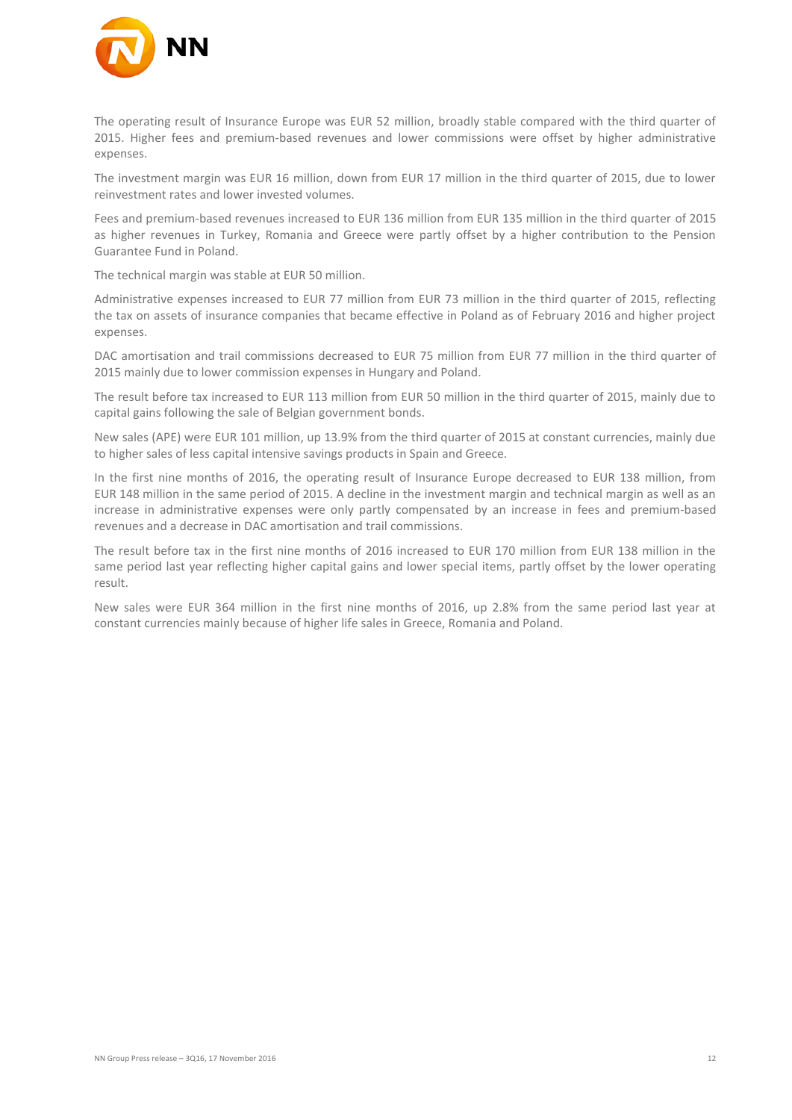

The operating result of Insurance Europe was EUR 52 million, broadly stable compared with the third quarter of 2015. Higher fees and premium-based revenues and lower commissions were offset by higher administrative expenses.

The investment margin was EUR 16 million, down from EUR 17 million in the third quarter of 2015, due to lower reinvestment rates and lower invested volumes.

Fees and premium-based revenues increased to EUR 136 million from EUR 135 million in the third quarter of 2015 as higher revenues in Turkey, Romania and Greece were partly offset by a higher contribution to the Pension Guarantee Fund in Poland.

The technical margin was stable at EUR 50 million.

Administrative expenses increased to EUR 77 million from EUR 73 million in the third quarter of 2015, reflecting the tax on assets of insurance companies that became effective in Poland as of February 2016 and higher project expenses.

DAC amortisation and trail commissions decreased to EUR 75 million from EUR 77 million in the third quarter of 2015 mainly due to lower commission expenses in Hungary and Poland.

The result before tax increased to EUR 113 million from EUR 50 million in the third quarter of 2015, mainly due to capital gains following the sale of Belgian government bonds.

New sales (APE) were EUR 101 million, up 13.9% from the third quarter of 2015 at constant currencies, mainly due to higher sales of less capital intensive savings products in Spain and Greece.

In the first nine months of 2016, the operating result of Insurance Europe decreased to EUR 138 million, from EUR 148 million in the same period of 2015. A decline in the investment margin and technical margin as well as an increase in administrative expenses were only partly compensated by an increase in fees and premium-based revenues and a decrease in DAC amortisation and trail commissions.

The result before tax in the first nine months of 2016 increased to EUR 170 million from EUR 138 million in the same period last year reflecting higher capital gains and lower special items, partly offset by the lower operating result.

New sales were EUR 364 million in the first nine months of 2016, up 2.8% from the same period last year at constant currencies mainly because of higher life sales in Greece, Romania and Poland.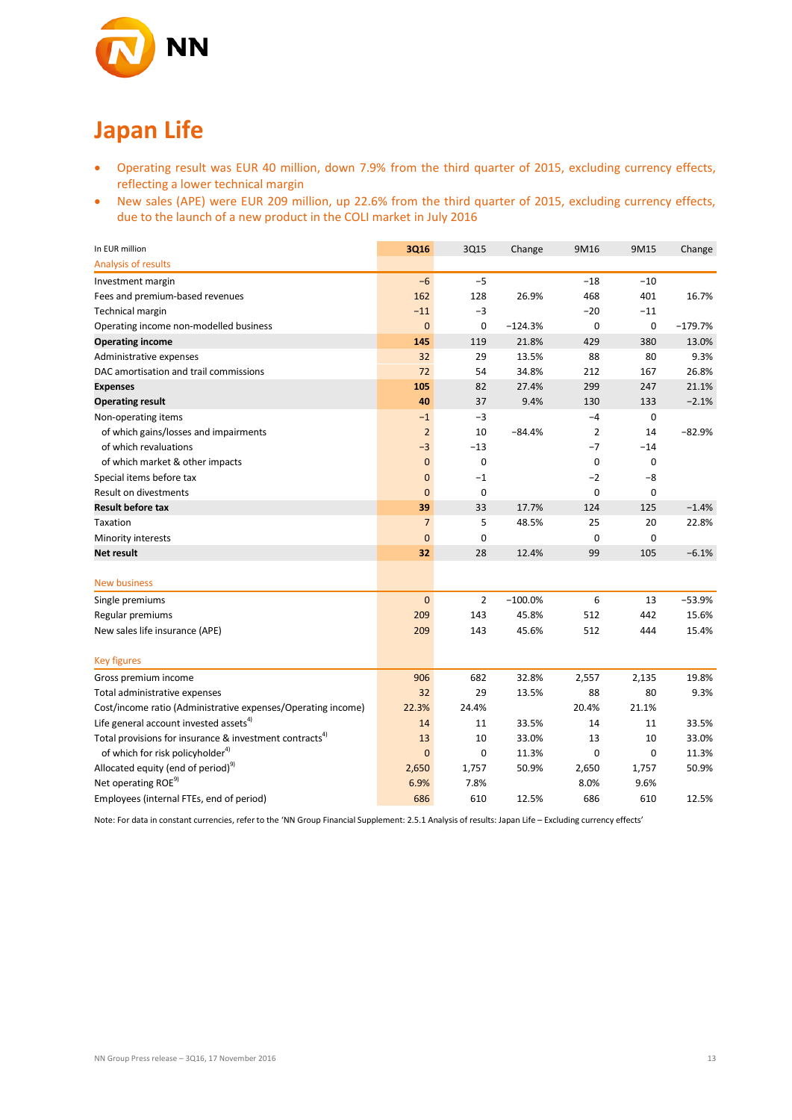

# **Japan Life**

- Operating result was EUR 40 million, down 7.9% from the third quarter of 2015, excluding currency effects, reflecting a lower technical margin
- New sales (APE) were EUR 209 million, up 22.6% from the third quarter of 2015, excluding currency effects, due to the launch of a new product in the COLI market in July 2016

| In EUR million                                                      | <b>3Q16</b>    | 3Q15        | Change    | 9M16        | 9M15        | Change    |
|---------------------------------------------------------------------|----------------|-------------|-----------|-------------|-------------|-----------|
| Analysis of results                                                 |                |             |           |             |             |           |
| Investment margin                                                   | $-6$           | $-5$        |           | $-18$       | $-10$       |           |
| Fees and premium-based revenues                                     | 162            | 128         | 26.9%     | 468         | 401         | 16.7%     |
| Technical margin                                                    | $-11$          | $-3$        |           | $-20$       | $-11$       |           |
| Operating income non-modelled business                              | $\mathbf{0}$   | 0           | $-124.3%$ | 0           | 0           | $-179.7%$ |
| <b>Operating income</b>                                             | 145            | 119         | 21.8%     | 429         | 380         | 13.0%     |
| Administrative expenses                                             | 32             | 29          | 13.5%     | 88          | 80          | 9.3%      |
| DAC amortisation and trail commissions                              | 72             | 54          | 34.8%     | 212         | 167         | 26.8%     |
| <b>Expenses</b>                                                     | 105            | 82          | 27.4%     | 299         | 247         | 21.1%     |
| <b>Operating result</b>                                             | 40             | 37          | 9.4%      | 130         | 133         | $-2.1%$   |
| Non-operating items                                                 | $-1$           | $-3$        |           | $-4$        | 0           |           |
| of which gains/losses and impairments                               | $\overline{2}$ | 10          | $-84.4%$  | 2           | 14          | $-82.9%$  |
| of which revaluations                                               | $-3$           | $-13$       |           | $-7$        | $-14$       |           |
| of which market & other impacts                                     | $\mathbf{0}$   | 0           |           | $\mathbf 0$ | $\mathbf 0$ |           |
| Special items before tax                                            | $\mathbf{0}$   | $-1$        |           | $-2$        | -8          |           |
| Result on divestments                                               | $\overline{0}$ | $\mathbf 0$ |           | 0           | $\mathbf 0$ |           |
| <b>Result before tax</b>                                            | 39             | 33          | 17.7%     | 124         | 125         | $-1.4%$   |
| Taxation                                                            | $\overline{7}$ | 5           | 48.5%     | 25          | 20          | 22.8%     |
| Minority interests                                                  | $\overline{0}$ | $\mathbf 0$ |           | 0           | $\mathbf 0$ |           |
| <b>Net result</b>                                                   | 32             | 28          | 12.4%     | 99          | 105         | $-6.1%$   |
|                                                                     |                |             |           |             |             |           |
| <b>New business</b>                                                 |                |             |           |             |             |           |
| Single premiums                                                     | $\mathbf 0$    | 2           | $-100.0%$ | 6           | 13          | $-53.9%$  |
| Regular premiums                                                    | 209            | 143         | 45.8%     | 512         | 442         | 15.6%     |
| New sales life insurance (APE)                                      | 209            | 143         | 45.6%     | 512         | 444         | 15.4%     |
|                                                                     |                |             |           |             |             |           |
| <b>Key figures</b>                                                  |                |             |           |             |             |           |
| Gross premium income                                                | 906            | 682         | 32.8%     | 2,557       | 2,135       | 19.8%     |
| Total administrative expenses                                       | 32             | 29          | 13.5%     | 88          | 80          | 9.3%      |
| Cost/income ratio (Administrative expenses/Operating income)        | 22.3%          | 24.4%       |           | 20.4%       | 21.1%       |           |
| Life general account invested assets <sup>4)</sup>                  | 14             | 11          | 33.5%     | 14          | 11          | 33.5%     |
| Total provisions for insurance & investment contracts <sup>4)</sup> | 13             | 10          | 33.0%     | 13          | 10          | 33.0%     |
| of which for risk policyholder <sup>4)</sup>                        | $\mathbf{0}$   | $\mathbf 0$ | 11.3%     | $\mathbf 0$ | $\mathbf 0$ | 11.3%     |
| Allocated equity (end of period) <sup>9)</sup>                      | 2,650          | 1,757       | 50.9%     | 2,650       | 1,757       | 50.9%     |
| Net operating ROE <sup>9)</sup>                                     | 6.9%           | 7.8%        |           | 8.0%        | 9.6%        |           |
| Employees (internal FTEs, end of period)                            | 686            | 610         | 12.5%     | 686         | 610         | 12.5%     |

Note: For data in constant currencies, refer to the 'NN Group Financial Supplement: 2.5.1 Analysis of results: Japan Life – Excluding currency effects'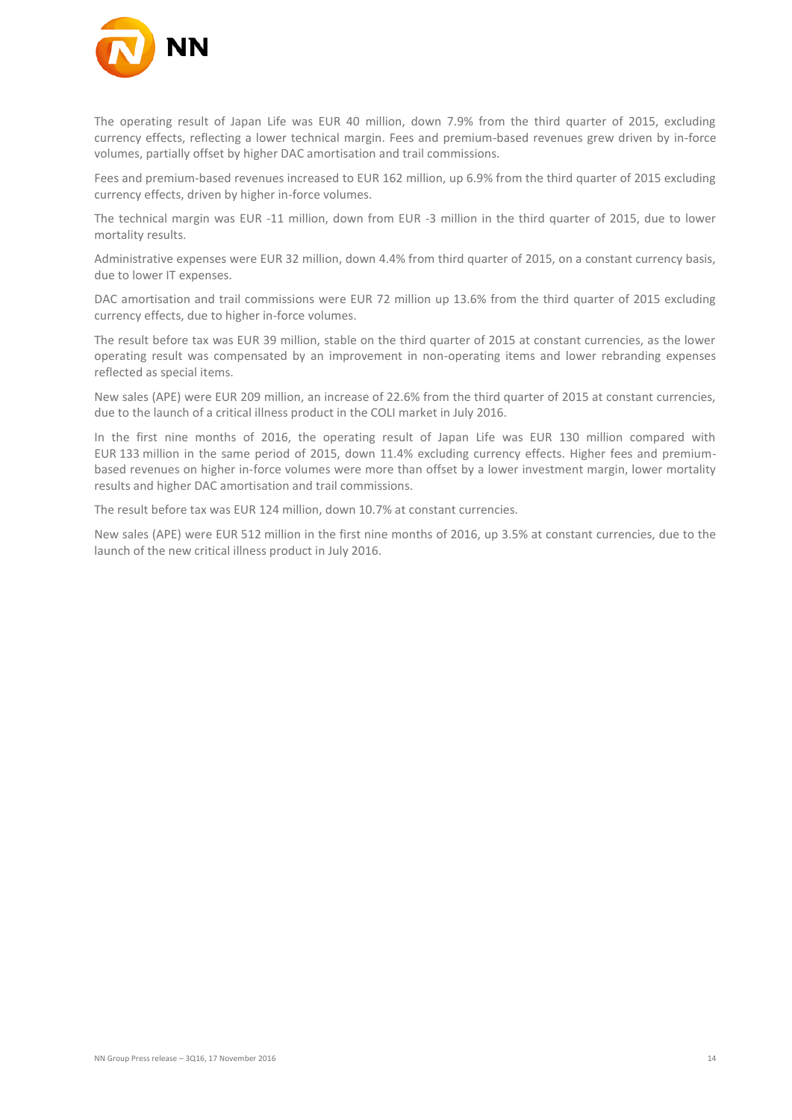

The operating result of Japan Life was EUR 40 million, down 7.9% from the third quarter of 2015, excluding currency effects, reflecting a lower technical margin. Fees and premium-based revenues grew driven by in-force volumes, partially offset by higher DAC amortisation and trail commissions.

Fees and premium-based revenues increased to EUR 162 million, up 6.9% from the third quarter of 2015 excluding currency effects, driven by higher in-force volumes.

The technical margin was EUR -11 million, down from EUR -3 million in the third quarter of 2015, due to lower mortality results.

Administrative expenses were EUR 32 million, down 4.4% from third quarter of 2015, on a constant currency basis, due to lower IT expenses.

DAC amortisation and trail commissions were EUR 72 million up 13.6% from the third quarter of 2015 excluding currency effects, due to higher in-force volumes.

The result before tax was EUR 39 million, stable on the third quarter of 2015 at constant currencies, as the lower operating result was compensated by an improvement in non-operating items and lower rebranding expenses reflected as special items.

New sales (APE) were EUR 209 million, an increase of 22.6% from the third quarter of 2015 at constant currencies, due to the launch of a critical illness product in the COLI market in July 2016.

In the first nine months of 2016, the operating result of Japan Life was EUR 130 million compared with EUR 133 million in the same period of 2015, down 11.4% excluding currency effects. Higher fees and premiumbased revenues on higher in-force volumes were more than offset by a lower investment margin, lower mortality results and higher DAC amortisation and trail commissions.

The result before tax was EUR 124 million, down 10.7% at constant currencies.

New sales (APE) were EUR 512 million in the first nine months of 2016, up 3.5% at constant currencies, due to the launch of the new critical illness product in July 2016.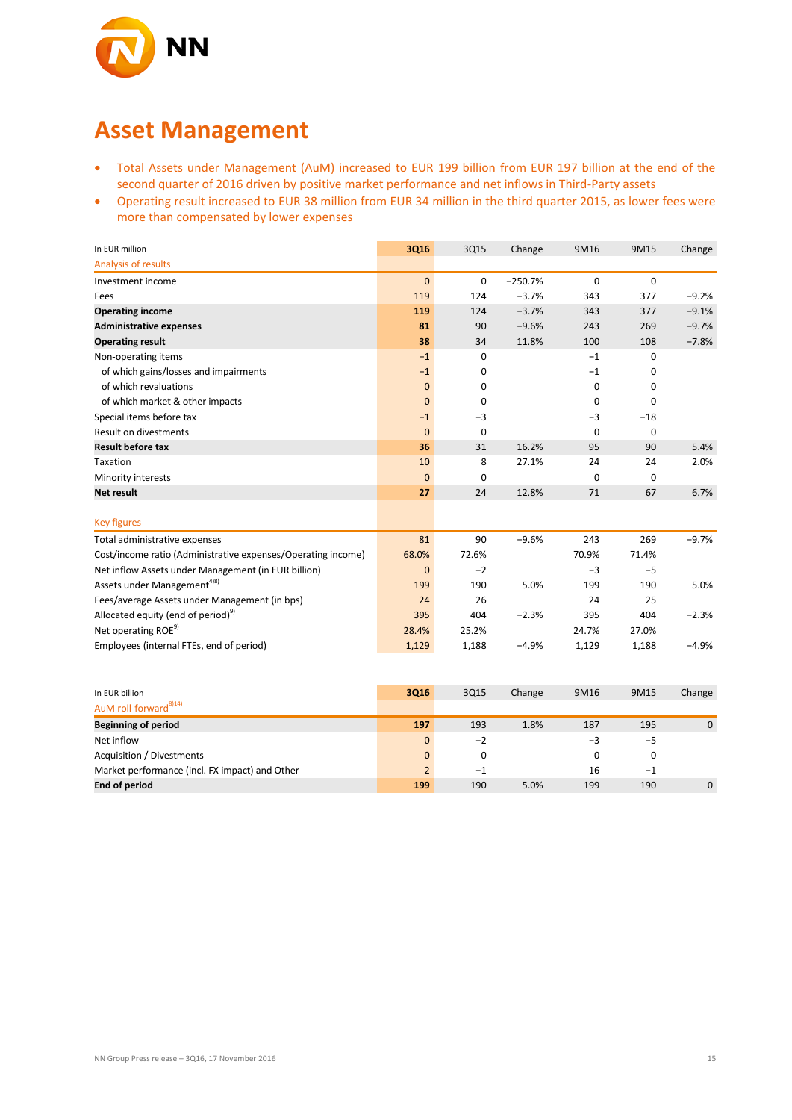

### **Asset Management**

- Total Assets under Management (AuM) increased to EUR 199 billion from EUR 197 billion at the end of the second quarter of 2016 driven by positive market performance and net inflows in Third-Party assets
- Operating result increased to EUR 38 million from EUR 34 million in the third quarter 2015, as lower fees were more than compensated by lower expenses

| In EUR million                                               | 3Q16           | 3Q15        | Change    | 9M16        | 9M15  | Change      |
|--------------------------------------------------------------|----------------|-------------|-----------|-------------|-------|-------------|
| Analysis of results                                          |                |             |           |             |       |             |
| Investment income                                            | $\mathbf{0}$   | $\mathbf 0$ | $-250.7%$ | $\mathbf 0$ | 0     |             |
| Fees                                                         | 119            | 124         | $-3.7%$   | 343         | 377   | $-9.2%$     |
| <b>Operating income</b>                                      | 119            | 124         | $-3.7%$   | 343         | 377   | $-9.1%$     |
| <b>Administrative expenses</b>                               | 81             | 90          | $-9.6%$   | 243         | 269   | $-9.7%$     |
| <b>Operating result</b>                                      | 38             | 34          | 11.8%     | 100         | 108   | $-7.8%$     |
| Non-operating items                                          | $-1$           | $\mathbf 0$ |           | $-1$        | 0     |             |
| of which gains/losses and impairments                        | $-1$           | 0           |           | $-1$        | 0     |             |
| of which revaluations                                        | $\mathbf 0$    | 0           |           | 0           | 0     |             |
| of which market & other impacts                              | $\mathbf{0}$   | 0           |           | 0           | 0     |             |
| Special items before tax                                     | $-1$           | $-3$        |           | $-3$        | $-18$ |             |
| Result on divestments                                        | $\overline{0}$ | $\mathbf 0$ |           | $\mathbf 0$ | 0     |             |
| <b>Result before tax</b>                                     | 36             | 31          | 16.2%     | 95          | 90    | 5.4%        |
| Taxation                                                     | 10             | 8           | 27.1%     | 24          | 24    | 2.0%        |
| Minority interests                                           | $\mathbf{0}$   | 0           |           | $\mathbf 0$ | 0     |             |
| <b>Net result</b>                                            | 27             | 24          | 12.8%     | 71          | 67    | 6.7%        |
|                                                              |                |             |           |             |       |             |
| <b>Key figures</b>                                           |                |             |           |             |       |             |
| Total administrative expenses                                | 81             | 90          | $-9.6%$   | 243         | 269   | $-9.7%$     |
| Cost/income ratio (Administrative expenses/Operating income) | 68.0%          | 72.6%       |           | 70.9%       | 71.4% |             |
| Net inflow Assets under Management (in EUR billion)          | $\mathbf{0}$   | $-2$        |           | $-3$        | $-5$  |             |
| Assets under Management <sup>4)8)</sup>                      | 199            | 190         | 5.0%      | 199         | 190   | 5.0%        |
| Fees/average Assets under Management (in bps)                | 24             | 26          |           | 24          | 25    |             |
| Allocated equity (end of period) <sup>9)</sup>               | 395            | 404         | $-2.3%$   | 395         | 404   | $-2.3%$     |
| Net operating ROE <sup>9)</sup>                              | 28.4%          | 25.2%       |           | 24.7%       | 27.0% |             |
| Employees (internal FTEs, end of period)                     | 1,129          | 1,188       | $-4.9%$   | 1,129       | 1,188 | $-4.9%$     |
|                                                              |                |             |           |             |       |             |
|                                                              |                |             |           |             |       |             |
| In EUR billion                                               | 3Q16           | 3Q15        | Change    | 9M16        | 9M15  | Change      |
| AuM roll-forward <sup>8)14)</sup>                            |                |             |           |             |       |             |
| <b>Beginning of period</b>                                   | 197            | 193         | 1.8%      | 187         | 195   | $\mathbf 0$ |
| Net inflow                                                   | $\mathbf 0$    | $-2$        |           | $-3$        | $-5$  |             |
| Acquisition / Divestments                                    | $\mathbf{0}$   | 0           |           | 0           | 0     |             |
| Market performance (incl. FX impact) and Other               | $\overline{2}$ | $^{-1}$     |           | 16          | $-1$  |             |
| <b>End of period</b>                                         | 199            | 190         | 5.0%      | 199         | 190   | $\mathbf 0$ |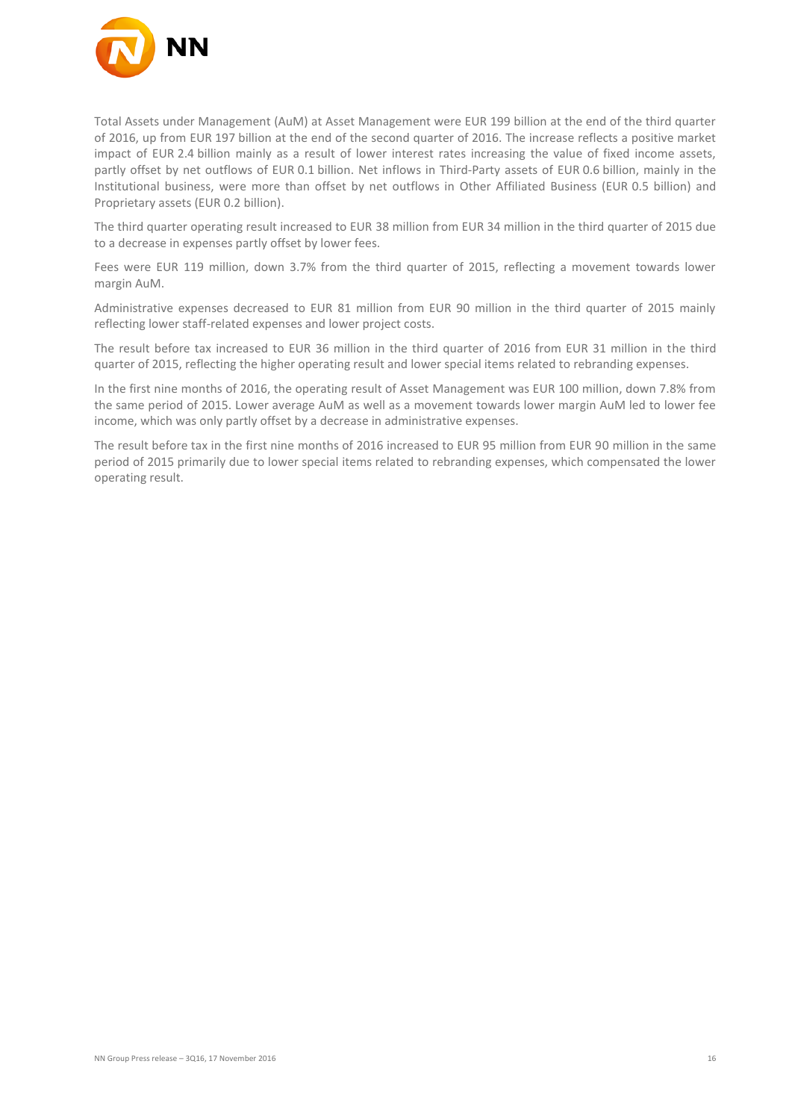

Total Assets under Management (AuM) at Asset Management were EUR 199 billion at the end of the third quarter of 2016, up from EUR 197 billion at the end of the second quarter of 2016. The increase reflects a positive market impact of EUR 2.4 billion mainly as a result of lower interest rates increasing the value of fixed income assets, partly offset by net outflows of EUR 0.1 billion. Net inflows in Third-Party assets of EUR 0.6 billion, mainly in the Institutional business, were more than offset by net outflows in Other Affiliated Business (EUR 0.5 billion) and Proprietary assets (EUR 0.2 billion).

The third quarter operating result increased to EUR 38 million from EUR 34 million in the third quarter of 2015 due to a decrease in expenses partly offset by lower fees.

Fees were EUR 119 million, down 3.7% from the third quarter of 2015, reflecting a movement towards lower margin AuM.

Administrative expenses decreased to EUR 81 million from EUR 90 million in the third quarter of 2015 mainly reflecting lower staff-related expenses and lower project costs.

The result before tax increased to EUR 36 million in the third quarter of 2016 from EUR 31 million in the third quarter of 2015, reflecting the higher operating result and lower special items related to rebranding expenses.

In the first nine months of 2016, the operating result of Asset Management was EUR 100 million, down 7.8% from the same period of 2015. Lower average AuM as well as a movement towards lower margin AuM led to lower fee income, which was only partly offset by a decrease in administrative expenses.

The result before tax in the first nine months of 2016 increased to EUR 95 million from EUR 90 million in the same period of 2015 primarily due to lower special items related to rebranding expenses, which compensated the lower operating result.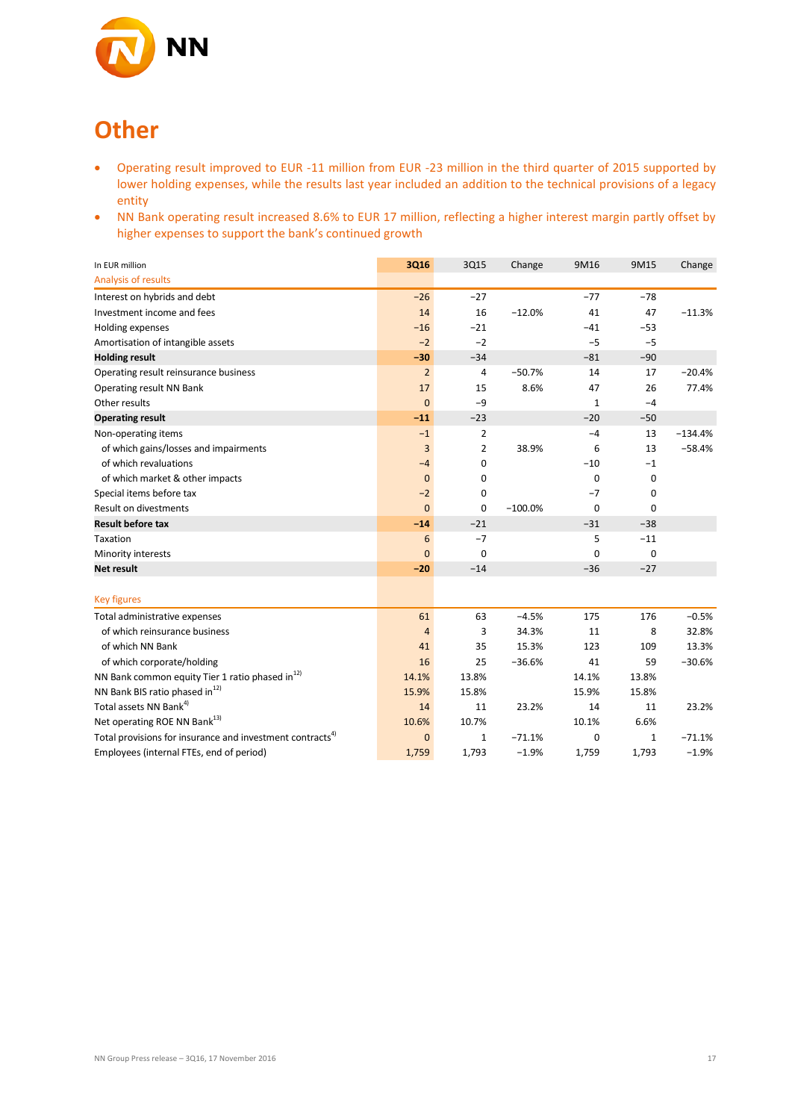

# **Other**

- Operating result improved to EUR -11 million from EUR -23 million in the third quarter of 2015 supported by lower holding expenses, while the results last year included an addition to the technical provisions of a legacy entity
- NN Bank operating result increased 8.6% to EUR 17 million, reflecting a higher interest margin partly offset by higher expenses to support the bank's continued growth

| In EUR million                                                       | 3Q16           | 3Q15           | Change    | 9M16         | 9M15         | Change    |
|----------------------------------------------------------------------|----------------|----------------|-----------|--------------|--------------|-----------|
| Analysis of results                                                  |                |                |           |              |              |           |
| Interest on hybrids and debt                                         | $-26$          | $-27$          |           | $-77$        | $-78$        |           |
| Investment income and fees                                           | 14             | 16             | $-12.0%$  | 41           | 47           | $-11.3%$  |
| Holding expenses                                                     | $-16$          | $-21$          |           | $-41$        | $-53$        |           |
| Amortisation of intangible assets                                    | $-2$           | $-2$           |           | $-5$         | $-5$         |           |
| <b>Holding result</b>                                                | $-30$          | $-34$          |           | $-81$        | $-90$        |           |
| Operating result reinsurance business                                | $\overline{2}$ | 4              | $-50.7%$  | 14           | 17           | $-20.4%$  |
| Operating result NN Bank                                             | 17             | 15             | 8.6%      | 47           | 26           | 77.4%     |
| Other results                                                        | $\mathbf{0}$   | $-9$           |           | $\mathbf{1}$ | $-4$         |           |
| <b>Operating result</b>                                              | $-11$          | $-23$          |           | $-20$        | $-50$        |           |
| Non-operating items                                                  | $-1$           | $\overline{2}$ |           | $-4$         | 13           | $-134.4%$ |
| of which gains/losses and impairments                                | $\overline{3}$ | $\overline{2}$ | 38.9%     | 6            | 13           | $-58.4%$  |
| of which revaluations                                                | $-4$           | 0              |           | $-10$        | $-1$         |           |
| of which market & other impacts                                      | $\mathbf{0}$   | 0              |           | 0            | $\mathbf 0$  |           |
| Special items before tax                                             | $-2$           | 0              |           | $-7$         | $\mathbf 0$  |           |
| <b>Result on divestments</b>                                         | $\overline{0}$ | $\mathbf 0$    | $-100.0%$ | $\mathbf 0$  | $\mathbf 0$  |           |
| <b>Result before tax</b>                                             | $-14$          | $-21$          |           | $-31$        | $-38$        |           |
| Taxation                                                             | 6              | $-7$           |           | 5            | $-11$        |           |
| Minority interests                                                   | $\mathbf{0}$   | $\mathbf 0$    |           | 0            | $\mathbf 0$  |           |
| <b>Net result</b>                                                    | $-20$          | $-14$          |           | $-36$        | $-27$        |           |
|                                                                      |                |                |           |              |              |           |
| <b>Key figures</b>                                                   |                |                |           |              |              |           |
| Total administrative expenses                                        | 61             | 63             | $-4.5%$   | 175          | 176          | $-0.5%$   |
| of which reinsurance business                                        | $\overline{4}$ | 3              | 34.3%     | 11           | 8            | 32.8%     |
| of which NN Bank                                                     | 41             | 35             | 15.3%     | 123          | 109          | 13.3%     |
| of which corporate/holding                                           | 16             | 25             | $-36.6%$  | 41           | 59           | $-30.6%$  |
| NN Bank common equity Tier 1 ratio phased in <sup>12)</sup>          | 14.1%          | 13.8%          |           | 14.1%        | 13.8%        |           |
| NN Bank BIS ratio phased in <sup>12)</sup>                           | 15.9%          | 15.8%          |           | 15.9%        | 15.8%        |           |
| Total assets NN Bank <sup>4)</sup>                                   | 14             | 11             | 23.2%     | 14           | 11           | 23.2%     |
| Net operating ROE NN Bank <sup>13)</sup>                             | 10.6%          | 10.7%          |           | 10.1%        | 6.6%         |           |
| Total provisions for insurance and investment contracts <sup>4</sup> | $\overline{0}$ | $\mathbf{1}$   | $-71.1%$  | 0            | $\mathbf{1}$ | $-71.1%$  |
| Employees (internal FTEs, end of period)                             | 1,759          | 1,793          | $-1.9%$   | 1,759        | 1,793        | $-1.9%$   |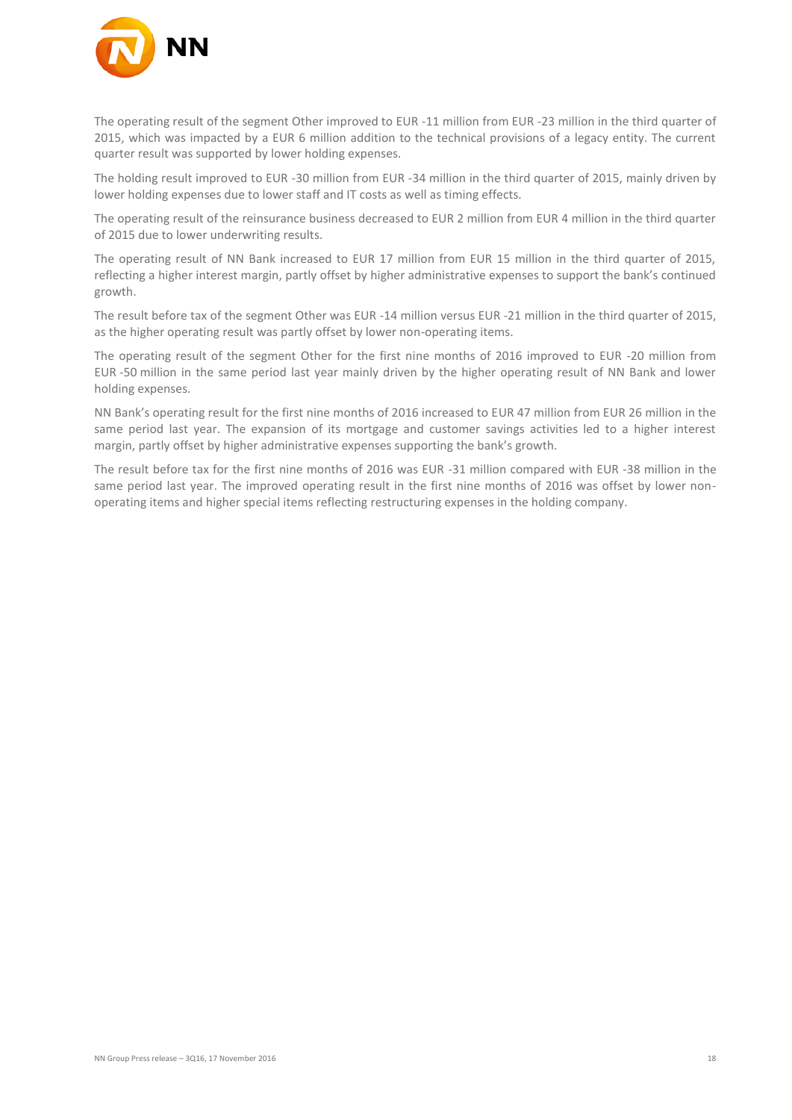

The operating result of the segment Other improved to EUR -11 million from EUR -23 million in the third quarter of 2015, which was impacted by a EUR 6 million addition to the technical provisions of a legacy entity. The current quarter result was supported by lower holding expenses.

The holding result improved to EUR -30 million from EUR -34 million in the third quarter of 2015, mainly driven by lower holding expenses due to lower staff and IT costs as well as timing effects.

The operating result of the reinsurance business decreased to EUR 2 million from EUR 4 million in the third quarter of 2015 due to lower underwriting results.

The operating result of NN Bank increased to EUR 17 million from EUR 15 million in the third quarter of 2015, reflecting a higher interest margin, partly offset by higher administrative expenses to support the bank's continued growth.

The result before tax of the segment Other was EUR -14 million versus EUR -21 million in the third quarter of 2015, as the higher operating result was partly offset by lower non-operating items.

The operating result of the segment Other for the first nine months of 2016 improved to EUR -20 million from EUR -50 million in the same period last year mainly driven by the higher operating result of NN Bank and lower holding expenses.

NN Bank's operating result for the first nine months of 2016 increased to EUR 47 million from EUR 26 million in the same period last year. The expansion of its mortgage and customer savings activities led to a higher interest margin, partly offset by higher administrative expenses supporting the bank's growth.

The result before tax for the first nine months of 2016 was EUR -31 million compared with EUR -38 million in the same period last year. The improved operating result in the first nine months of 2016 was offset by lower nonoperating items and higher special items reflecting restructuring expenses in the holding company.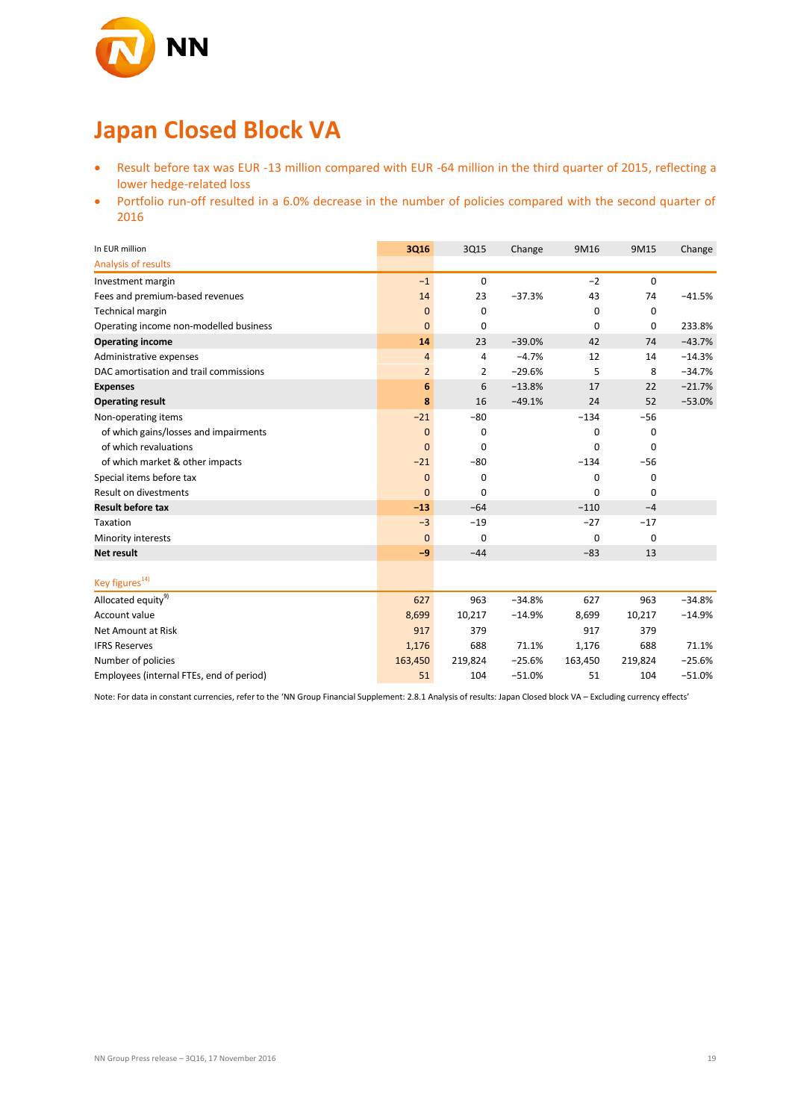

# **Japan Closed Block VA**

- Result before tax was EUR -13 million compared with EUR -64 million in the third quarter of 2015, reflecting a lower hedge-related loss
- Portfolio run-off resulted in a 6.0% decrease in the number of policies compared with the second quarter of 2016

| In EUR million                           | 3Q16           | 3Q15        | Change   | 9M16        | 9M15        | Change   |
|------------------------------------------|----------------|-------------|----------|-------------|-------------|----------|
| Analysis of results                      |                |             |          |             |             |          |
| Investment margin                        | $-1$           | $\mathbf 0$ |          | $-2$        | $\mathbf 0$ |          |
| Fees and premium-based revenues          | 14             | 23          | $-37.3%$ | 43          | 74          | $-41.5%$ |
| Technical margin                         | $\mathbf{0}$   | $\mathbf 0$ |          | 0           | 0           |          |
| Operating income non-modelled business   | $\mathbf{0}$   | 0           |          | $\mathbf 0$ | $\mathbf 0$ | 233.8%   |
| <b>Operating income</b>                  | 14             | 23          | $-39.0%$ | 42          | 74          | $-43.7%$ |
| Administrative expenses                  | 4              | 4           | $-4.7%$  | 12          | 14          | $-14.3%$ |
| DAC amortisation and trail commissions   | $\overline{2}$ | 2           | $-29.6%$ | 5           | 8           | $-34.7%$ |
| <b>Expenses</b>                          | 6              | 6           | $-13.8%$ | 17          | 22          | $-21.7%$ |
| <b>Operating result</b>                  | 8              | 16          | $-49.1%$ | 24          | 52          | $-53.0%$ |
| Non-operating items                      | $-21$          | $-80$       |          | $-134$      | $-56$       |          |
| of which gains/losses and impairments    | $\mathbf{0}$   | 0           |          | 0           | 0           |          |
| of which revaluations                    | $\overline{0}$ | 0           |          | 0           | $\mathbf 0$ |          |
| of which market & other impacts          | $-21$          | -80         |          | $-134$      | $-56$       |          |
| Special items before tax                 | $\mathbf{0}$   | 0           |          | 0           | 0           |          |
| <b>Result on divestments</b>             | $\overline{0}$ | 0           |          | 0           | $\mathbf 0$ |          |
| <b>Result before tax</b>                 | $-13$          | $-64$       |          | $-110$      | $-4$        |          |
| Taxation                                 | $-3$           | $-19$       |          | $-27$       | $-17$       |          |
| Minority interests                       | $\mathbf{0}$   | $\mathbf 0$ |          | 0           | $\mathbf 0$ |          |
| <b>Net result</b>                        | $-9$           | $-44$       |          | $-83$       | 13          |          |
|                                          |                |             |          |             |             |          |
| Key figures <sup>14)</sup>               |                |             |          |             |             |          |
| Allocated equity <sup>9)</sup>           | 627            | 963         | $-34.8%$ | 627         | 963         | $-34.8%$ |
| Account value                            | 8,699          | 10,217      | $-14.9%$ | 8,699       | 10,217      | $-14.9%$ |
| Net Amount at Risk                       | 917            | 379         |          | 917         | 379         |          |
| <b>IFRS Reserves</b>                     | 1,176          | 688         | 71.1%    | 1,176       | 688         | 71.1%    |
| Number of policies                       | 163,450        | 219,824     | $-25.6%$ | 163,450     | 219,824     | $-25.6%$ |
| Employees (internal FTEs, end of period) | 51             | 104         | $-51.0%$ | 51          | 104         | $-51.0%$ |

Note: For data in constant currencies, refer to the 'NN Group Financial Supplement: 2.8.1 Analysis of results: Japan Closed block VA – Excluding currency effects'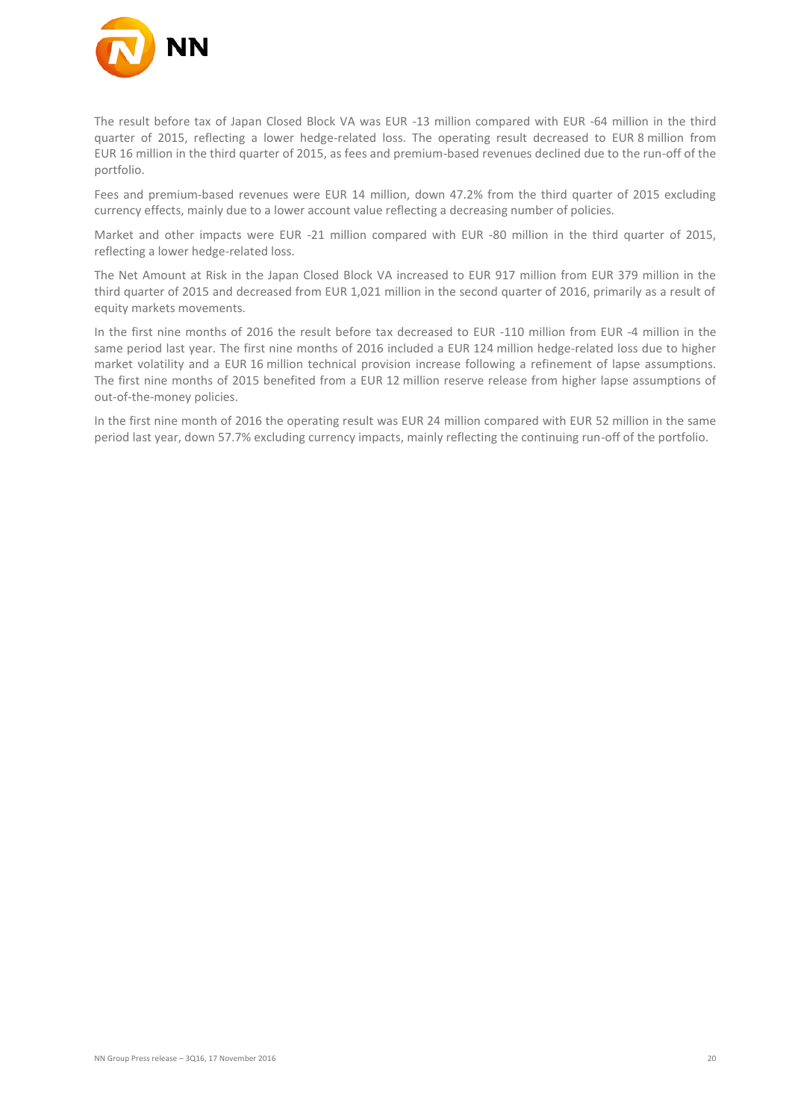

The result before tax of Japan Closed Block VA was EUR -13 million compared with EUR -64 million in the third quarter of 2015, reflecting a lower hedge-related loss. The operating result decreased to EUR 8 million from EUR 16 million in the third quarter of 2015, as fees and premium-based revenues declined due to the run-off of the portfolio.

Fees and premium-based revenues were EUR 14 million, down 47.2% from the third quarter of 2015 excluding currency effects, mainly due to a lower account value reflecting a decreasing number of policies.

Market and other impacts were EUR -21 million compared with EUR -80 million in the third quarter of 2015, reflecting a lower hedge-related loss.

The Net Amount at Risk in the Japan Closed Block VA increased to EUR 917 million from EUR 379 million in the third quarter of 2015 and decreased from EUR 1,021 million in the second quarter of 2016, primarily as a result of equity markets movements.

In the first nine months of 2016 the result before tax decreased to EUR -110 million from EUR -4 million in the same period last year. The first nine months of 2016 included a EUR 124 million hedge-related loss due to higher market volatility and a EUR 16 million technical provision increase following a refinement of lapse assumptions. The first nine months of 2015 benefited from a EUR 12 million reserve release from higher lapse assumptions of out-of-the-money policies.

In the first nine month of 2016 the operating result was EUR 24 million compared with EUR 52 million in the same period last year, down 57.7% excluding currency impacts, mainly reflecting the continuing run-off of the portfolio.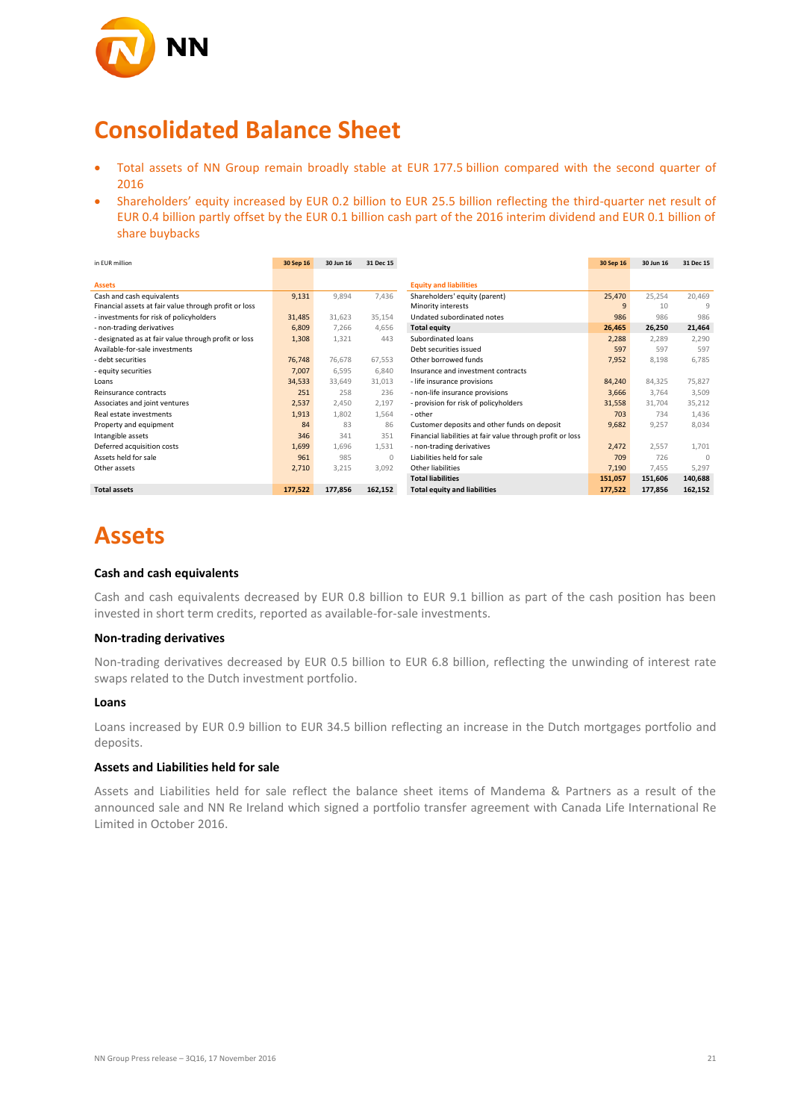

## **Consolidated Balance Sheet**

- Total assets of NN Group remain broadly stable at EUR 177.5 billion compared with the second quarter of 2016
- Shareholders' equity increased by EUR 0.2 billion to EUR 25.5 billion reflecting the third-quarter net result of EUR 0.4 billion partly offset by the EUR 0.1 billion cash part of the 2016 interim dividend and EUR 0.1 billion of share buybacks

| in EUR million                                        | 30 Sep 16 | 30 Jun 16 | 31 Dec 15 |                                                            | 30 Sep 16 | 30 Jun 16 | 31 Dec 15 |
|-------------------------------------------------------|-----------|-----------|-----------|------------------------------------------------------------|-----------|-----------|-----------|
|                                                       |           |           |           |                                                            |           |           |           |
| <b>Assets</b>                                         |           |           |           | <b>Equity and liabilities</b>                              |           |           |           |
| Cash and cash equivalents                             | 9,131     | 9,894     | 7,436     | Shareholders' equity (parent)                              | 25,470    | 25,254    | 20,469    |
| Financial assets at fair value through profit or loss |           |           |           | Minority interests                                         | 9         | 10        | 9         |
| - investments for risk of policyholders               | 31,485    | 31,623    | 35,154    | Undated subordinated notes                                 | 986       | 986       | 986       |
| - non-trading derivatives                             | 6,809     | 7,266     | 4,656     | <b>Total equity</b>                                        | 26,465    | 26,250    | 21,464    |
| - designated as at fair value through profit or loss  | 1,308     | 1,321     | 443       | Subordinated loans                                         | 2,288     | 2,289     | 2,290     |
| Available-for-sale investments                        |           |           |           | Debt securities issued                                     | 597       | 597       | 597       |
| - debt securities                                     | 76,748    | 76.678    | 67,553    | Other borrowed funds                                       | 7,952     | 8,198     | 6.785     |
| - equity securities                                   | 7,007     | 6,595     | 6,840     | Insurance and investment contracts                         |           |           |           |
| Loans                                                 | 34,533    | 33,649    | 31,013    | - life insurance provisions                                | 84,240    | 84,325    | 75,827    |
| Reinsurance contracts                                 | 251       | 258       | 236       | - non-life insurance provisions                            | 3,666     | 3,764     | 3,509     |
| Associates and joint ventures                         | 2,537     | 2,450     | 2,197     | - provision for risk of policyholders                      | 31,558    | 31,704    | 35,212    |
| Real estate investments                               | 1,913     | 1,802     | 1,564     | - other                                                    | 703       | 734       | 1,436     |
| Property and equipment                                | 84        | 83        | 86        | Customer deposits and other funds on deposit               | 9,682     | 9,257     | 8,034     |
| Intangible assets                                     | 346       | 341       | 351       | Financial liabilities at fair value through profit or loss |           |           |           |
| Deferred acquisition costs                            | 1,699     | 1,696     | 1,531     | - non-trading derivatives                                  | 2,472     | 2,557     | 1,701     |
| Assets held for sale                                  | 961       | 985       | $\Omega$  | Liabilities held for sale                                  | 709       | 726       | $\cap$    |
| Other assets                                          | 2,710     | 3,215     | 3,092     | Other liabilities                                          | 7,190     | 7,455     | 5,297     |
|                                                       |           |           |           | <b>Total liabilities</b>                                   | 151,057   | 151,606   | 140,688   |
| <b>Total assets</b>                                   | 177,522   | 177,856   | 162,152   | <b>Total equity and liabilities</b>                        | 177,522   | 177,856   | 162,152   |

## **Assets**

#### **Cash and cash equivalents**

Cash and cash equivalents decreased by EUR 0.8 billion to EUR 9.1 billion as part of the cash position has been invested in short term credits, reported as available-for-sale investments.

#### **Non-trading derivatives**

Non-trading derivatives decreased by EUR 0.5 billion to EUR 6.8 billion, reflecting the unwinding of interest rate swaps related to the Dutch investment portfolio.

#### **Loans**

Loans increased by EUR 0.9 billion to EUR 34.5 billion reflecting an increase in the Dutch mortgages portfolio and deposits.

#### **Assets and Liabilities held for sale**

Assets and Liabilities held for sale reflect the balance sheet items of Mandema & Partners as a result of the announced sale and NN Re Ireland which signed a portfolio transfer agreement with Canada Life International Re Limited in October 2016.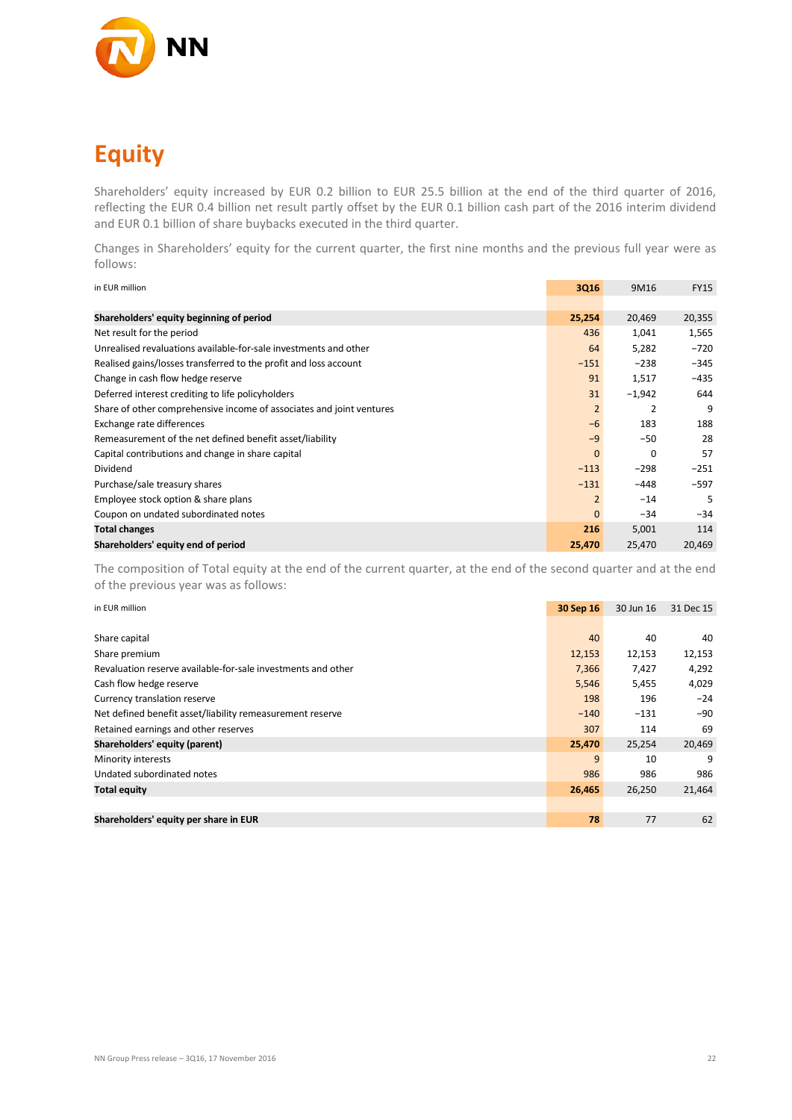

# **Equity**

Shareholders' equity increased by EUR 0.2 billion to EUR 25.5 billion at the end of the third quarter of 2016, reflecting the EUR 0.4 billion net result partly offset by the EUR 0.1 billion cash part of the 2016 interim dividend and EUR 0.1 billion of share buybacks executed in the third quarter.

Changes in Shareholders' equity for the current quarter, the first nine months and the previous full year were as follows:

| in EUR million                                                       | 3Q16           | 9M16     | <b>FY15</b> |
|----------------------------------------------------------------------|----------------|----------|-------------|
|                                                                      |                |          |             |
| Shareholders' equity beginning of period                             | 25,254         | 20,469   | 20,355      |
| Net result for the period                                            | 436            | 1,041    | 1,565       |
| Unrealised revaluations available-for-sale investments and other     | 64             | 5,282    | $-720$      |
| Realised gains/losses transferred to the profit and loss account     | $-151$         | $-238$   | $-345$      |
| Change in cash flow hedge reserve                                    | 91             | 1,517    | $-435$      |
| Deferred interest crediting to life policyholders                    | 31             | $-1,942$ | 644         |
| Share of other comprehensive income of associates and joint ventures | $\overline{2}$ | 2        | 9           |
| Exchange rate differences                                            | $-6$           | 183      | 188         |
| Remeasurement of the net defined benefit asset/liability             | $-9$           | $-50$    | 28          |
| Capital contributions and change in share capital                    | $\mathbf{0}$   | $\Omega$ | 57          |
| Dividend                                                             | $-113$         | $-298$   | $-251$      |
| Purchase/sale treasury shares                                        | $-131$         | $-448$   | $-597$      |
| Employee stock option & share plans                                  | $\overline{2}$ | $-14$    | 5           |
| Coupon on undated subordinated notes                                 | $\mathbf{0}$   | $-34$    | $-34$       |
| <b>Total changes</b>                                                 | 216            | 5,001    | 114         |
| Shareholders' equity end of period                                   | 25,470         | 25,470   | 20,469      |

The composition of Total equity at the end of the current quarter, at the end of the second quarter and at the end of the previous year was as follows:

| in EUR million                                               | 30 Sep 16 | 30 Jun 16 | 31 Dec 15 |
|--------------------------------------------------------------|-----------|-----------|-----------|
|                                                              |           |           |           |
| Share capital                                                | 40        | 40        | 40        |
| Share premium                                                | 12,153    | 12,153    | 12,153    |
| Revaluation reserve available-for-sale investments and other | 7,366     | 7,427     | 4,292     |
| Cash flow hedge reserve                                      | 5,546     | 5,455     | 4,029     |
| Currency translation reserve                                 | 198       | 196       | $-24$     |
| Net defined benefit asset/liability remeasurement reserve    | $-140$    | $-131$    | $-90$     |
| Retained earnings and other reserves                         | 307       | 114       | 69        |
| Shareholders' equity (parent)                                | 25,470    | 25,254    | 20,469    |
| Minority interests                                           | 9         | 10        | 9         |
| Undated subordinated notes                                   | 986       | 986       | 986       |
| <b>Total equity</b>                                          | 26,465    | 26,250    | 21,464    |
|                                                              |           |           |           |
| Shareholders' equity per share in EUR                        | 78        | 77        | 62        |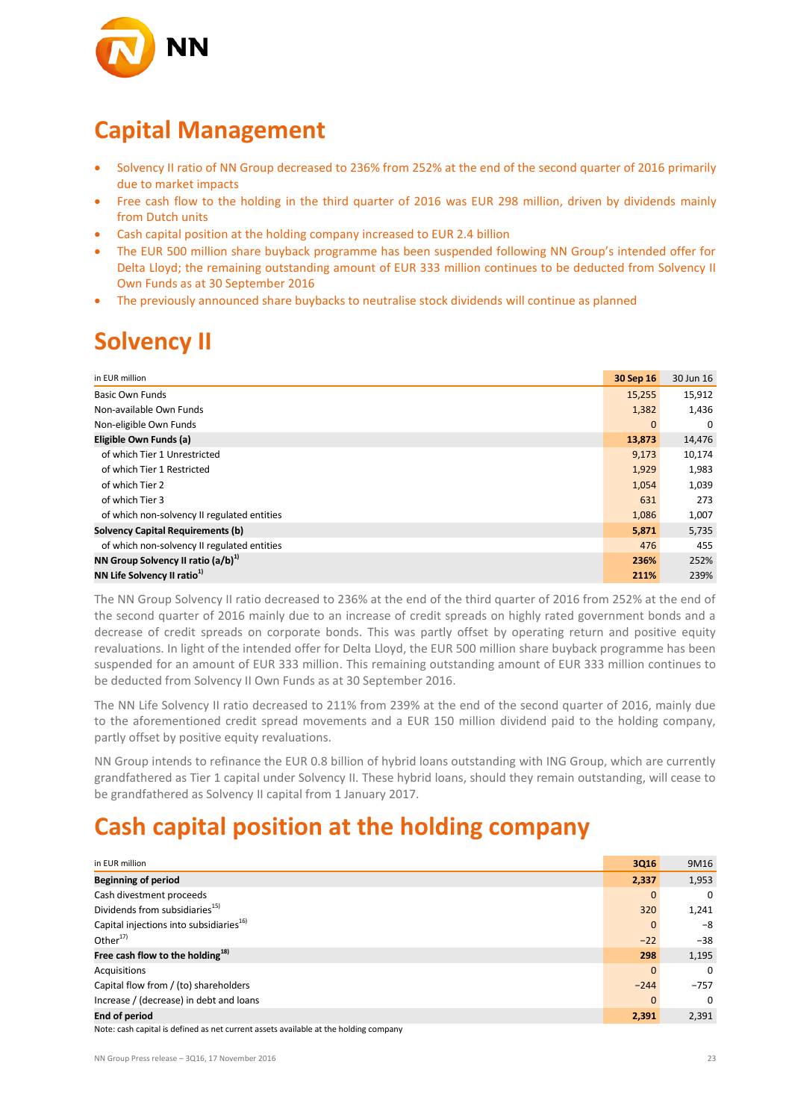

## **Capital Management**

- Solvency II ratio of NN Group decreased to 236% from 252% at the end of the second quarter of 2016 primarily due to market impacts
- Free cash flow to the holding in the third quarter of 2016 was EUR 298 million, driven by dividends mainly from Dutch units
- Cash capital position at the holding company increased to EUR 2.4 billion
- The EUR 500 million share buyback programme has been suspended following NN Group's intended offer for Delta Lloyd; the remaining outstanding amount of EUR 333 million continues to be deducted from Solvency II Own Funds as at 30 September 2016
- The previously announced share buybacks to neutralise stock dividends will continue as planned

### **Solvency II**

| in EUR million                              | 30 Sep 16    | 30 Jun 16 |
|---------------------------------------------|--------------|-----------|
| Basic Own Funds                             | 15,255       | 15,912    |
| Non-available Own Funds                     | 1,382        | 1,436     |
| Non-eligible Own Funds                      | $\mathbf{0}$ | $\Omega$  |
| Eligible Own Funds (a)                      | 13,873       | 14,476    |
| of which Tier 1 Unrestricted                | 9,173        | 10,174    |
| of which Tier 1 Restricted                  | 1,929        | 1,983     |
| of which Tier 2                             | 1,054        | 1,039     |
| of which Tier 3                             | 631          | 273       |
| of which non-solvency II regulated entities | 1,086        | 1,007     |
| <b>Solvency Capital Requirements (b)</b>    | 5,871        | 5,735     |
| of which non-solvency II regulated entities | 476          | 455       |
| NN Group Solvency II ratio $(a/b)^{1}$      | 236%         | 252%      |
| NN Life Solvency II ratio <sup>1)</sup>     | 211%         | 239%      |

The NN Group Solvency II ratio decreased to 236% at the end of the third quarter of 2016 from 252% at the end of the second quarter of 2016 mainly due to an increase of credit spreads on highly rated government bonds and a decrease of credit spreads on corporate bonds. This was partly offset by operating return and positive equity revaluations. In light of the intended offer for Delta Lloyd, the EUR 500 million share buyback programme has been suspended for an amount of EUR 333 million. This remaining outstanding amount of EUR 333 million continues to be deducted from Solvency II Own Funds as at 30 September 2016.

The NN Life Solvency II ratio decreased to 211% from 239% at the end of the second quarter of 2016, mainly due to the aforementioned credit spread movements and a EUR 150 million dividend paid to the holding company, partly offset by positive equity revaluations.

NN Group intends to refinance the EUR 0.8 billion of hybrid loans outstanding with ING Group, which are currently grandfathered as Tier 1 capital under Solvency II. These hybrid loans, should they remain outstanding, will cease to be grandfathered as Solvency II capital from 1 January 2017.

## **Cash capital position at the holding company**

| in EUR million                                                                       | 3Q16         | 9M16     |
|--------------------------------------------------------------------------------------|--------------|----------|
| <b>Beginning of period</b>                                                           | 2,337        | 1,953    |
| Cash divestment proceeds                                                             | $\mathbf{0}$ | $\Omega$ |
| Dividends from subsidiaries <sup>15)</sup>                                           | 320          | 1,241    |
| Capital injections into subsidiaries <sup>16)</sup>                                  | $\mathbf{0}$ | $-8$     |
| Other $17)$                                                                          | $-22$        | $-38$    |
| Free cash flow to the holding $^{18)}$                                               | 298          | 1,195    |
| Acquisitions                                                                         | $\Omega$     | $\Omega$ |
| Capital flow from / (to) shareholders                                                | $-244$       | $-757$   |
| Increase / (decrease) in debt and loans                                              | $\mathbf{0}$ | $\Omega$ |
| <b>End of period</b>                                                                 | 2,391        | 2,391    |
| Note: cash capital is defined as not surrent assets available at the holding company |              |          |

Note: cash capital is defined as net current assets available at the holding company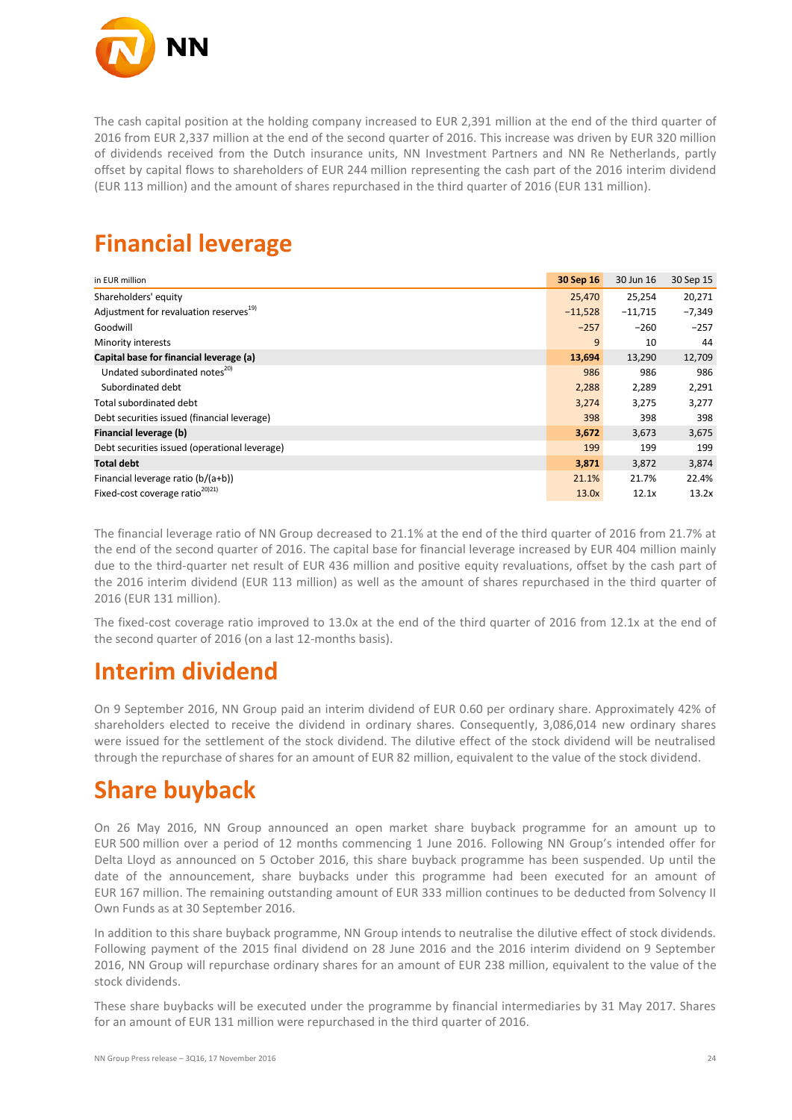

The cash capital position at the holding company increased to EUR 2,391 million at the end of the third quarter of 2016 from EUR 2,337 million at the end of the second quarter of 2016. This increase was driven by EUR 320 million of dividends received from the Dutch insurance units, NN Investment Partners and NN Re Netherlands, partly offset by capital flows to shareholders of EUR 244 million representing the cash part of the 2016 interim dividend (EUR 113 million) and the amount of shares repurchased in the third quarter of 2016 (EUR 131 million).

## **Financial leverage**

| in EUR million                                     | 30 Sep 16 | 30 Jun 16 | 30 Sep 15 |
|----------------------------------------------------|-----------|-----------|-----------|
| Shareholders' equity                               | 25,470    | 25,254    | 20,271    |
| Adjustment for revaluation reserves <sup>19)</sup> | $-11,528$ | $-11,715$ | $-7,349$  |
| Goodwill                                           | $-257$    | $-260$    | $-257$    |
| Minority interests                                 | 9         | 10        | 44        |
| Capital base for financial leverage (a)            | 13,694    | 13,290    | 12,709    |
| Undated subordinated notes <sup>20)</sup>          | 986       | 986       | 986       |
| Subordinated debt                                  | 2,288     | 2,289     | 2,291     |
| Total subordinated debt                            | 3,274     | 3,275     | 3,277     |
| Debt securities issued (financial leverage)        | 398       | 398       | 398       |
| Financial leverage (b)                             | 3,672     | 3,673     | 3,675     |
| Debt securities issued (operational leverage)      | 199       | 199       | 199       |
| <b>Total debt</b>                                  | 3,871     | 3,872     | 3,874     |
| Financial leverage ratio (b/(a+b))                 | 21.1%     | 21.7%     | 22.4%     |
| Fixed-cost coverage ratio <sup>201211</sup>        | 13.0x     | 12.1x     | 13.2x     |

The financial leverage ratio of NN Group decreased to 21.1% at the end of the third quarter of 2016 from 21.7% at the end of the second quarter of 2016. The capital base for financial leverage increased by EUR 404 million mainly due to the third-quarter net result of EUR 436 million and positive equity revaluations, offset by the cash part of the 2016 interim dividend (EUR 113 million) as well as the amount of shares repurchased in the third quarter of 2016 (EUR 131 million).

The fixed-cost coverage ratio improved to 13.0x at the end of the third quarter of 2016 from 12.1x at the end of the second quarter of 2016 (on a last 12-months basis).

### **Interim dividend**

On 9 September 2016, NN Group paid an interim dividend of EUR 0.60 per ordinary share. Approximately 42% of shareholders elected to receive the dividend in ordinary shares. Consequently, 3,086,014 new ordinary shares were issued for the settlement of the stock dividend. The dilutive effect of the stock dividend will be neutralised through the repurchase of shares for an amount of EUR 82 million, equivalent to the value of the stock dividend.

## **Share buyback**

On 26 May 2016, NN Group announced an open market share buyback programme for an amount up to EUR 500 million over a period of 12 months commencing 1 June 2016. Following NN Group's intended offer for Delta Lloyd as announced on 5 October 2016, this share buyback programme has been suspended. Up until the date of the announcement, share buybacks under this programme had been executed for an amount of EUR 167 million. The remaining outstanding amount of EUR 333 million continues to be deducted from Solvency II Own Funds as at 30 September 2016.

In addition to this share buyback programme, NN Group intends to neutralise the dilutive effect of stock dividends. Following payment of the 2015 final dividend on 28 June 2016 and the 2016 interim dividend on 9 September 2016, NN Group will repurchase ordinary shares for an amount of EUR 238 million, equivalent to the value of the stock dividends.

These share buybacks will be executed under the programme by financial intermediaries by 31 May 2017. Shares for an amount of EUR 131 million were repurchased in the third quarter of 2016.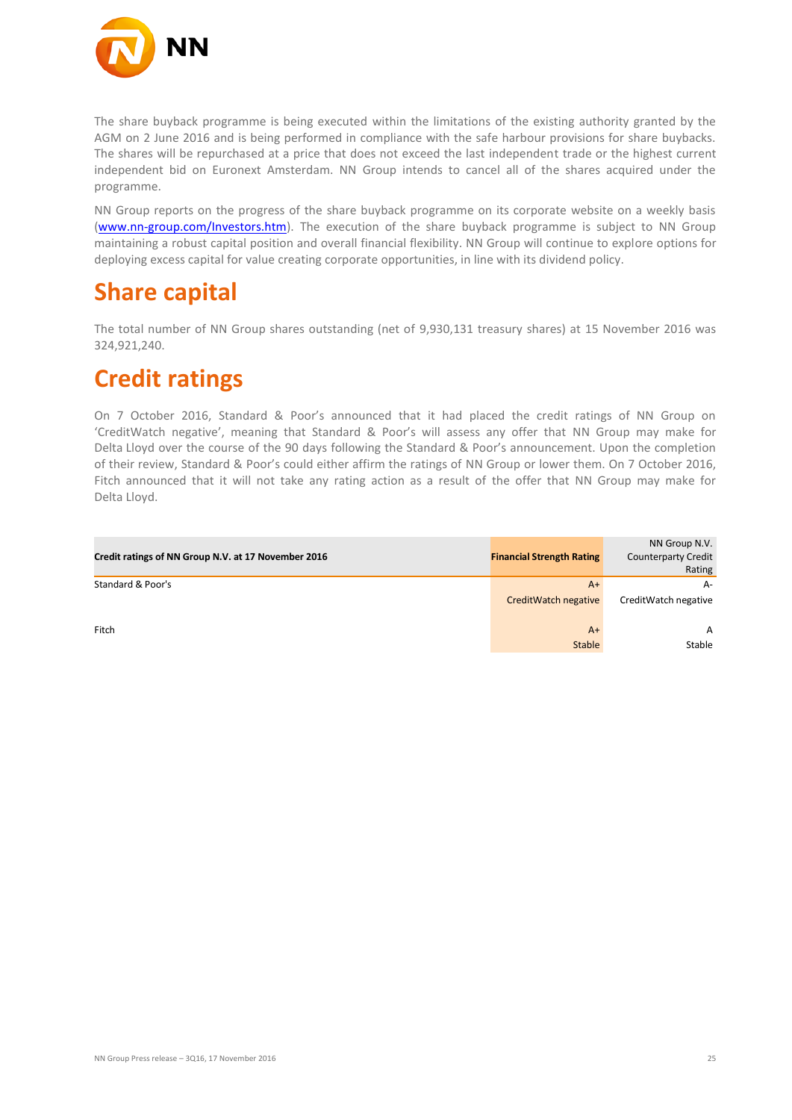

The share buyback programme is being executed within the limitations of the existing authority granted by the AGM on 2 June 2016 and is being performed in compliance with the safe harbour provisions for share buybacks. The shares will be repurchased at a price that does not exceed the last independent trade or the highest current independent bid on Euronext Amsterdam. NN Group intends to cancel all of the shares acquired under the programme.

NN Group reports on the progress of the share buyback programme on its corporate website on a weekly basis [\(www.nn-group.com/Investors.htm\)](http://www.nn-group.com/Investors.htm). The execution of the share buyback programme is subject to NN Group maintaining a robust capital position and overall financial flexibility. NN Group will continue to explore options for deploying excess capital for value creating corporate opportunities, in line with its dividend policy.

### **Share capital**

The total number of NN Group shares outstanding (net of 9,930,131 treasury shares) at 15 November 2016 was 324,921,240.

### **Credit ratings**

On 7 October 2016, Standard & Poor's announced that it had placed the credit ratings of NN Group on 'CreditWatch negative', meaning that Standard & Poor's will assess any offer that NN Group may make for Delta Lloyd over the course of the 90 days following the Standard & Poor's announcement. Upon the completion of their review, Standard & Poor's could either affirm the ratings of NN Group or lower them. On 7 October 2016, Fitch announced that it will not take any rating action as a result of the offer that NN Group may make for Delta Lloyd.

| Credit ratings of NN Group N.V. at 17 November 2016 | <b>Financial Strength Rating</b> | NN Group N.V.<br><b>Counterparty Credit</b><br>Rating |
|-----------------------------------------------------|----------------------------------|-------------------------------------------------------|
| Standard & Poor's                                   | $A+$                             | A-                                                    |
|                                                     | CreditWatch negative             | CreditWatch negative                                  |
| Fitch                                               | $A+$                             | A                                                     |
|                                                     | <b>Stable</b>                    | Stable                                                |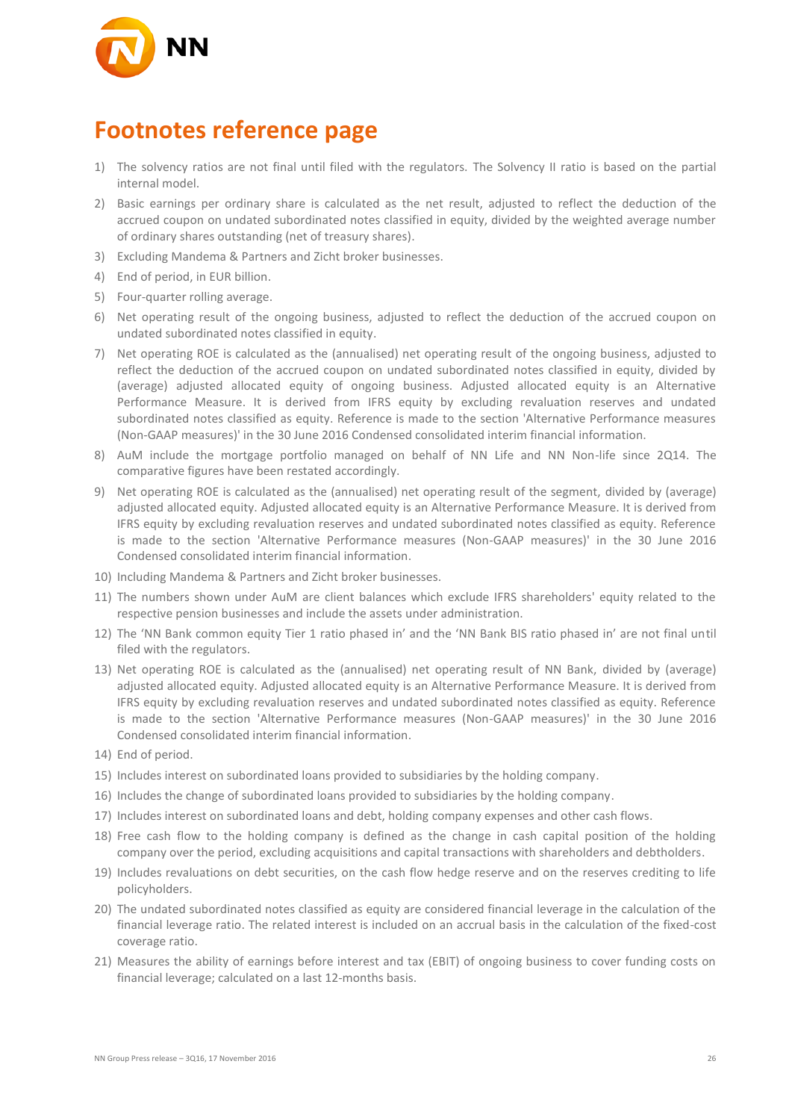

### **Footnotes reference page**

- 1) The solvency ratios are not final until filed with the regulators. The Solvency II ratio is based on the partial internal model.
- 2) Basic earnings per ordinary share is calculated as the net result, adjusted to reflect the deduction of the accrued coupon on undated subordinated notes classified in equity, divided by the weighted average number of ordinary shares outstanding (net of treasury shares).
- 3) Excluding Mandema & Partners and Zicht broker businesses.
- 4) End of period, in EUR billion.
- 5) Four-quarter rolling average.
- 6) Net operating result of the ongoing business, adjusted to reflect the deduction of the accrued coupon on undated subordinated notes classified in equity.
- 7) Net operating ROE is calculated as the (annualised) net operating result of the ongoing business, adjusted to reflect the deduction of the accrued coupon on undated subordinated notes classified in equity, divided by (average) adjusted allocated equity of ongoing business. Adjusted allocated equity is an Alternative Performance Measure. It is derived from IFRS equity by excluding revaluation reserves and undated subordinated notes classified as equity. Reference is made to the section 'Alternative Performance measures (Non-GAAP measures)' in the 30 June 2016 Condensed consolidated interim financial information.
- 8) AuM include the mortgage portfolio managed on behalf of NN Life and NN Non-life since 2Q14. The comparative figures have been restated accordingly.
- 9) Net operating ROE is calculated as the (annualised) net operating result of the segment, divided by (average) adjusted allocated equity. Adjusted allocated equity is an Alternative Performance Measure. It is derived from IFRS equity by excluding revaluation reserves and undated subordinated notes classified as equity. Reference is made to the section 'Alternative Performance measures (Non-GAAP measures)' in the 30 June 2016 Condensed consolidated interim financial information.
- 10) Including Mandema & Partners and Zicht broker businesses.
- 11) The numbers shown under AuM are client balances which exclude IFRS shareholders' equity related to the respective pension businesses and include the assets under administration.
- 12) The 'NN Bank common equity Tier 1 ratio phased in' and the 'NN Bank BIS ratio phased in' are not final until filed with the regulators.
- 13) Net operating ROE is calculated as the (annualised) net operating result of NN Bank, divided by (average) adjusted allocated equity. Adjusted allocated equity is an Alternative Performance Measure. It is derived from IFRS equity by excluding revaluation reserves and undated subordinated notes classified as equity. Reference is made to the section 'Alternative Performance measures (Non-GAAP measures)' in the 30 June 2016 Condensed consolidated interim financial information.
- 14) End of period.
- 15) Includes interest on subordinated loans provided to subsidiaries by the holding company.
- 16) Includes the change of subordinated loans provided to subsidiaries by the holding company.
- 17) Includes interest on subordinated loans and debt, holding company expenses and other cash flows.
- 18) Free cash flow to the holding company is defined as the change in cash capital position of the holding company over the period, excluding acquisitions and capital transactions with shareholders and debtholders.
- 19) Includes revaluations on debt securities, on the cash flow hedge reserve and on the reserves crediting to life policyholders.
- 20) The undated subordinated notes classified as equity are considered financial leverage in the calculation of the financial leverage ratio. The related interest is included on an accrual basis in the calculation of the fixed-cost coverage ratio.
- 21) Measures the ability of earnings before interest and tax (EBIT) of ongoing business to cover funding costs on financial leverage; calculated on a last 12-months basis.